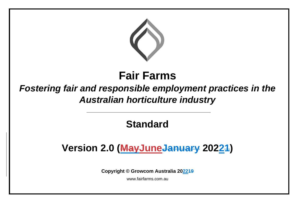

# **Fair Farms**

*Fostering fair and responsible employment practices in the Australian horticulture industry*

## **Standard**

## **Version 2.0 (MayJuneJanuary 20221)**

**Copyright © Growcom Australia 202219**

www.fairfarms.com.au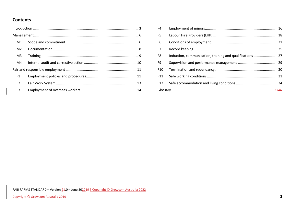#### **Contents**

| M1             |  |
|----------------|--|
| M <sub>2</sub> |  |
| M <sub>3</sub> |  |
| M4             |  |
|                |  |
| F1             |  |
| F <sub>2</sub> |  |
| F <sub>3</sub> |  |

| F <sub>4</sub> |                                                          |  |
|----------------|----------------------------------------------------------|--|
| F <sub>5</sub> |                                                          |  |
| F <sub>6</sub> |                                                          |  |
| F7             |                                                          |  |
| F <sub>8</sub> | Induction, communication, training and qualifications 27 |  |
| F <sub>9</sub> |                                                          |  |
| F10            |                                                          |  |
| F11            |                                                          |  |
| F12            |                                                          |  |
|                |                                                          |  |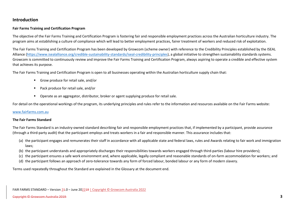#### <span id="page-2-0"></span>**Introduction**

#### **Fair Farms Training and Certification Program**

The objective of the Fair Farms Training and Certification Program is fostering fair and responsible employment practices across the Australian horticulture industry. The program aims at establishing a culture of compliance which will lead to better employment practices, fairer treatment of workers and reduced risk of exploitation.

The Fair Farms Training and Certification Program has been developed by Growcom (scheme owner) with reference to the Credibility Principles established by the ISEAL Alliance [\(https://www.isealalliance.org/credible-sustainability-standards/iseal-credibility-principles\)](https://www.isealalliance.org/credible-sustainability-standards/iseal-credibility-principles), a global initiative to strengthen sustainability standards systems. Growcom is committed to continuously review and improve the Fair Farms Training and Certification Program, always aspiring to operate a credible and effective system that achieves its purpose.

The Fair Farms Training and Certification Program is open to all businesses operating within the Australian horticulture supply chain that:

- Grow produce for retail sale, and/or
- Pack produce for retail sale, and/or
- Operate as an aggregator, distributor, broker or agent supplying produce for retail sale.

For detail on the operational workings of the program, its underlying principles and rules refer to the information and resources available on the Fair Farms website:

#### [www.fairfarms.com.au](http://www.fairfarms.com.au/)

#### **The Fair Farms Standard**

The Fair Farms Standard is an industry-owned standard describing fair and responsible employment practices that, if implemented by a participant, provide assurance (through a third-party audit) that the participant employs and treats workers in a fair and responsible manner. This assurance includes that:

- (a) the participant engages and remunerates their staff in accordance with all applicable state and federal laws, rules and Awards relating to fair work and immigration laws;
- (b) the participant understands and appropriately discharges their responsibilities towards workers engaged through third-parties (labour hire providers);
- (c) the participant ensures a safe work environment and, where applicable, legally compliant and reasonable standards of on-farm accommodation for workers; and
- (d) the participant follows an approach of zero-tolerance towards any form of forced labour, bonded labour or any form of modern slavery.

Terms used repeatedly throughout the Standard are explained in the Glossary at the document end.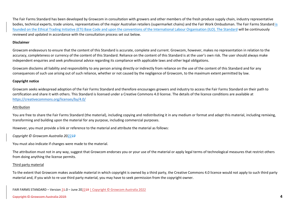The Fair Farms Standard has been developed by Growcom in consultation with growers and other members of the fresh produce supply chain, industry representative bodies, technical experts, trade unions, representatives of the major Australian retailers (supermarket chains) and the Fair Work Ombudsman. The Fair Farms Standard is founded on the Ethical Trading Initiative (ETI) Base Code and upon the conventions of the International Labour Organisation (ILO). The Standard will be continuously reviewed and updated in accordance with the consultation process set out below.

#### **Disclaimer**

Growcom endeavours to ensure that the content of this Standard is accurate, complete and current. Growcom, however, makes no representation in relation to the accuracy, completeness or currency of the content of this Standard. Reliance on the content of this Standard is at the user's own risk. The user should always make independent enquiries and seek professional advice regarding its compliance with applicable laws and other legal obligations.

Growcom disclaims all liability and responsibility to any person arising directly or indirectly from reliance on the use of the content of this Standard and for any consequences of such use arising out of such reliance, whether or not caused by the negligence of Growcom, to the maximum extent permitted by law.

#### **Copyright notice**

Growcom seeks widespread adoption of the Fair Farms Standard and therefore encourages growers and industry to access the Fair Farms Standard on their path to certification and share it with others. This Standard is licensed under a Creative Commons 4.0 license. The details of the licence conditions are available at <https://creativecommons.org/licenses/by/4.0/>

#### Attribution

You are free to share the Fair Farms Standard (the material), including copying and redistributing it in any medium or format and adapt this material, including remixing, transforming and building upon the material for any purpose, including commercial purposes.

However, you must provide a link or reference to the material and attribute the material as follows:

*Copyright © Growcom Australia 202219*

You must also indicate if changes were made to the material.

The attribution must not in any way, suggest that Growcom endorses you or your use of the material or apply legal terms of technological measures that restrict others from doing anything the license permits.

#### Third party material

To the extent that Growcom makes available material in which copyright is owned by a third party, the Creative Commons 4.0 licence would not apply to such third party material and, if you wish to re-use third party material, you may have to seek permission from the copyright owner.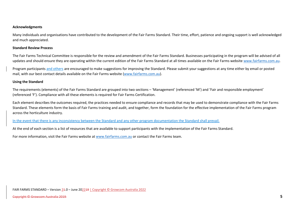#### **Acknowledgments**

Many individuals and organisations have contributed to the development of the Fair Farms Standard. Their time, effort, patience and ongoing support is well acknowledged and much appreciated.

#### **Standard Review Process**

The Fair Farms Technical Committee is responsible for the review and amendment of the Fair Farms Standard. Businesses participating in the program will be advised of all updates and should ensure they are operating within the current edition of the Fair Farms Standard at all times available on the Fair Farms website [www.fairfarms.com.au.](http://www.fairfarms.com.au/)

Program participants and others are encouraged to make suggestions for improving the Standard. Please submit your suggestions at any time either by email or posted mail, with our best contact details available on the Fair Farms website [\(www.fairfarms.com.au\)](http://www.fairfarms.com.au/).

#### **Using the Standard**

The requirements (elements) of the Fair Farms Standard are grouped into two sections – 'Management' (referenced 'M') and 'Fair and responsible employment' (referenced 'F'). Compliance with all these elements is required for Fair Farms Certification.

Each element describes the outcomes required, the practices needed to ensure compliance and records that may be used to demonstrate compliance with the Fair Farms Standard. These elements form the basis of Fair Farms training and audit, and together, form the foundation for the effective implementation of the Fair Farms program across the horticulture industry.

In the event that there is any inconsistency between the Standard and any other program documentation the Standard shall prevail.

At the end of each section is a list of resources that are available to support participants with the implementation of the Fair Farms Standard.

For more information, visit the Fair Farms website at [www.fairfarms.com.au](http://www.fairfarms.com.au/) or contact the Fair Farms team.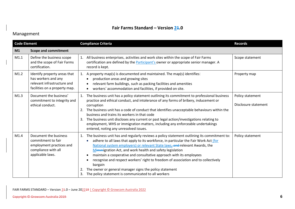### **Fair Farms Standard – Version 24.0**

#### <span id="page-5-0"></span>Management

<span id="page-5-1"></span>

| <b>Code Element</b> |                                                                                                                     | <b>Compliance Criteria</b>                                                                                                                                                                                                                                                                                                                                                                                                                                                                                                                                                                                                           | <b>Records</b>                           |
|---------------------|---------------------------------------------------------------------------------------------------------------------|--------------------------------------------------------------------------------------------------------------------------------------------------------------------------------------------------------------------------------------------------------------------------------------------------------------------------------------------------------------------------------------------------------------------------------------------------------------------------------------------------------------------------------------------------------------------------------------------------------------------------------------|------------------------------------------|
| M1                  | <b>Scope and commitment</b>                                                                                         |                                                                                                                                                                                                                                                                                                                                                                                                                                                                                                                                                                                                                                      |                                          |
| M1.1                | Define the business scope<br>and the scope of Fair Farms<br>certification.                                          | All business enterprises, activities and work sites within the scope of Fair Farms<br>1.<br>certification are defined by the <b>Participant's</b> owner or appropriate senior manager. A<br>record is kept.                                                                                                                                                                                                                                                                                                                                                                                                                          | Scope statement                          |
| M1.2                | Identify property areas that<br>has workers and any<br>relevant infrastructure and<br>facilities on a property map. | A property map(s) is documented and maintained. The map(s) identifies:<br>1.<br>production areas and growing sites<br>relevant farm buildings, such as packing facilities and amenities<br>workers' accommodation and facilities, if provided on site.                                                                                                                                                                                                                                                                                                                                                                               | Property map                             |
| M1.3                | Document the business'<br>commitment to integrity and<br>ethical conduct.                                           | The business unit has a policy statement outlining its commitment to professional business<br>1.<br>practice and ethical conduct, and intolerance of any forms of bribery, inducement or<br>corruption<br>The business unit has a code of conduct that identifies unacceptable behaviours within the<br>2.<br>business and trains its workers in that code<br>The business unit discloses any current or past legal action/investigations relating to<br>3.<br>employment, WHS or immigration matters, including any enforceable undertakings<br>entered, noting any unresolved issues.                                              | Policy statement<br>Disclosure statement |
| M1.4                | Document the business<br>commitment to fair<br>employment practices and<br>compliance with all<br>applicable laws.  | The business unit has and regularly reviews a policy statement outlining its commitment to:<br>adhere to all laws that apply to its workforce, in particular the Fair Work Act (for<br>National system employers) or relevant State laws, and relevant Awards, the<br>MImmigration Act, and work health and safety legislation<br>maintain a cooperative and consultative approach with its employees<br>recognise and respect workers' right to freedom of association and to collectively<br>bargain<br>The owner or general manager signs the policy statement<br>2.<br>The policy statement is communicated to all workers<br>3. | Policy statement                         |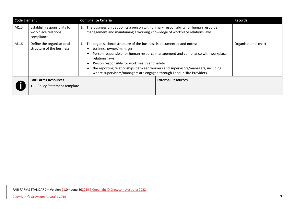| <b>Code Element</b> |                                                                    | <b>Compliance Criteria</b>                                                                                                                                                                                                                                                                                                                                                                                       |                           | <b>Records</b>       |
|---------------------|--------------------------------------------------------------------|------------------------------------------------------------------------------------------------------------------------------------------------------------------------------------------------------------------------------------------------------------------------------------------------------------------------------------------------------------------------------------------------------------------|---------------------------|----------------------|
| M1.5                | Establish responsibility for<br>workplace relations<br>compliance. | The business unit appoints a person with primary responsibility for human resource<br>1.<br>management and maintaining a working knowledge of workplace relations laws.                                                                                                                                                                                                                                          |                           |                      |
| M1.6                | Define the organisational<br>structure of the business.            | The organisational structure of the business is documented and notes:<br>business owner/manager<br>Person responsible for human resource management and compliance with workplace<br>relations laws<br>Person responsible for work health and safety<br>the reporting relationships between workers and supervisors/managers, including<br>where supervisors/managers are engaged through Labour Hire Providers. |                           | Organisational chart |
|                     | <b>Fair Farms Resources</b><br><b>Policy Statement template</b>    |                                                                                                                                                                                                                                                                                                                                                                                                                  | <b>External Resources</b> |                      |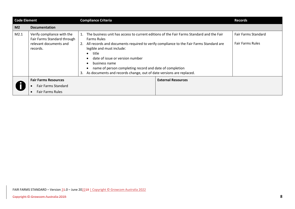<span id="page-7-0"></span>

| <b>Code Element</b> |                                                                                                 | <b>Compliance Criteria</b>                                                                                                                                                                                                                                                                                                                                                                                                                              |                           | <b>Records</b>                                        |
|---------------------|-------------------------------------------------------------------------------------------------|---------------------------------------------------------------------------------------------------------------------------------------------------------------------------------------------------------------------------------------------------------------------------------------------------------------------------------------------------------------------------------------------------------------------------------------------------------|---------------------------|-------------------------------------------------------|
| M <sub>2</sub>      | <b>Documentation</b>                                                                            |                                                                                                                                                                                                                                                                                                                                                                                                                                                         |                           |                                                       |
| M2.1                | Verify compliance with the<br>Fair Farms Standard through<br>relevant documents and<br>records. | The business unit has access to current editions of the Fair Farms Standard and the Fair<br><b>Farms Rules</b><br>All records and documents required to verify compliance to the Fair Farms Standard are<br>legible and must include:<br>title<br>$\bullet$<br>date of issue or version number<br>business name<br>name of person completing record and date of completion<br>As documents and records change, out of date versions are replaced.<br>3. |                           | <b>Fair Farms Standard</b><br><b>Fair Farms Rules</b> |
|                     | <b>Fair Farms Resources</b>                                                                     |                                                                                                                                                                                                                                                                                                                                                                                                                                                         | <b>External Resources</b> |                                                       |
|                     | Fair Farms Standard                                                                             |                                                                                                                                                                                                                                                                                                                                                                                                                                                         |                           |                                                       |
|                     | <b>Fair Farms Rules</b>                                                                         |                                                                                                                                                                                                                                                                                                                                                                                                                                                         |                           |                                                       |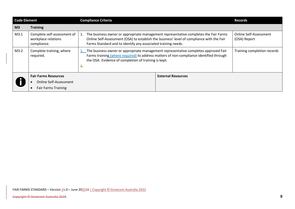<span id="page-8-0"></span>

| <b>Code Element</b> |                                                                                     | <b>Compliance Criteria</b>                                                                                                                                                                                                                            |                                                                                                                                                                                   | <b>Records</b>                         |
|---------------------|-------------------------------------------------------------------------------------|-------------------------------------------------------------------------------------------------------------------------------------------------------------------------------------------------------------------------------------------------------|-----------------------------------------------------------------------------------------------------------------------------------------------------------------------------------|----------------------------------------|
| M <sub>3</sub>      | <b>Training</b>                                                                     |                                                                                                                                                                                                                                                       |                                                                                                                                                                                   |                                        |
| M3.1                | Complete self-assessment of<br>workplace relations<br>compliance.                   | 1.<br>Farms Standard and to identify any associated training needs.                                                                                                                                                                                   | The business owner or appropriate management representative completes the Fair Farms<br>Online Self-Assessment (OSA) to establish the business' level of compliance with the Fair | Online Self-Assessment<br>(OSA) Report |
| M3.2                | Complete training, where<br>required.                                               | The business owner or appropriate management representative completes approved Fair<br>1.<br>Farms training (where required) to address matters of non-compliance identified through<br>the OSA. Evidence of completion of training is kept.<br>$\pm$ |                                                                                                                                                                                   | Training completion records            |
|                     | <b>Fair Farms Resources</b><br>Online Self-Assessment<br><b>Fair Farms Training</b> |                                                                                                                                                                                                                                                       | <b>External Resources</b>                                                                                                                                                         |                                        |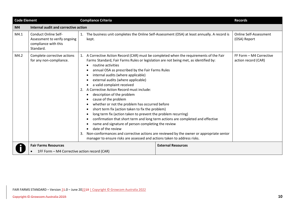<span id="page-9-0"></span>

| <b>Code Element</b> |                                                                                           | <b>Compliance Criteria</b>                                                                                                                                                                                                                                                                                                                                                                                                                                                                                                                                                                                                                                                                                                  |                                                                                                                                                                                                                                                                   | <b>Records</b>                                 |
|---------------------|-------------------------------------------------------------------------------------------|-----------------------------------------------------------------------------------------------------------------------------------------------------------------------------------------------------------------------------------------------------------------------------------------------------------------------------------------------------------------------------------------------------------------------------------------------------------------------------------------------------------------------------------------------------------------------------------------------------------------------------------------------------------------------------------------------------------------------------|-------------------------------------------------------------------------------------------------------------------------------------------------------------------------------------------------------------------------------------------------------------------|------------------------------------------------|
| M <sub>4</sub>      | Internal audit and corrective action                                                      |                                                                                                                                                                                                                                                                                                                                                                                                                                                                                                                                                                                                                                                                                                                             |                                                                                                                                                                                                                                                                   |                                                |
| M4.1                | Conduct Online Self-<br>Assessment to verify ongoing<br>compliance with this<br>Standard. | 1.<br>kept.                                                                                                                                                                                                                                                                                                                                                                                                                                                                                                                                                                                                                                                                                                                 | The business unit completes the Online Self-Assessment (OSA) at least annually. A record is                                                                                                                                                                       | <b>Online Self-Assessment</b><br>(OSA) Report  |
| M4.2                | Complete corrective actions<br>for any non-compliance.                                    | 1.<br>Farms Standard, Fair Farms Rules or legislation are not being met, as identified by:<br>routine activities<br>annual OSA as prescribed by the Fair Farms Rules<br>internal audits (where applicable)<br>external audits (where applicable)<br>a valid complaint received<br>A Corrective Action Record must include:<br>2.<br>description of the problem<br>cause of the problem<br>whether or not the problem has occurred before<br>short term fix (action taken to fix the problem)<br>long term fix (action taken to prevent the problem recurring)<br>name and signature of person completing the review<br>date of the review<br>3.<br>manager to ensure risks are assessed and actions taken to address risks. | A Corrective Action Record (CAR) must be completed when the requirements of the Fair<br>confirmation that short term and long term actions are completed and effective<br>Non-conformances and corrective actions are reviewed by the owner or appropriate senior | FF Form - M4 Corrective<br>action record (CAR) |
|                     | <b>Fair Farms Resources</b><br>1FF Form - M4 Corrective action record (CAR)               |                                                                                                                                                                                                                                                                                                                                                                                                                                                                                                                                                                                                                                                                                                                             | <b>External Resources</b>                                                                                                                                                                                                                                         |                                                |

FAIR FARMS STANDARD – Version  $\underline{24.0}$  – June 2022 $\underline{49}$   $\underline{L}$  Copyright  $\odot$  Growcom Australia 2022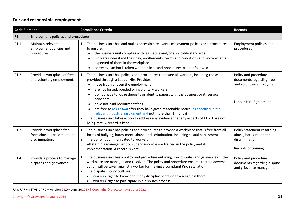## <span id="page-10-0"></span>**Fair and responsible employment**

<span id="page-10-1"></span>

| <b>Code Element</b> |                                                                           | <b>Compliance Criteria</b>                                                                                                                                                                                                                                                                                                                                                                                                                                                                                                                                                                                                                                            | <b>Records</b>                                                                                        |
|---------------------|---------------------------------------------------------------------------|-----------------------------------------------------------------------------------------------------------------------------------------------------------------------------------------------------------------------------------------------------------------------------------------------------------------------------------------------------------------------------------------------------------------------------------------------------------------------------------------------------------------------------------------------------------------------------------------------------------------------------------------------------------------------|-------------------------------------------------------------------------------------------------------|
| F1                  | <b>Employment policies and procedures</b>                                 |                                                                                                                                                                                                                                                                                                                                                                                                                                                                                                                                                                                                                                                                       |                                                                                                       |
| F1.1                | Maintain relevant<br>employment policies and<br>procedures.               | The business unit has and makes accessible relevant employment policies and procedures<br>1.<br>to ensure:<br>the business unit complies with legislative and/or applicable standards<br>$\bullet$<br>workers understand their pay, entitlements, terms and conditions and know what is<br>expected of them in the workplace<br>corrective action is taken when policies and procedures are not followed.<br>$\bullet$                                                                                                                                                                                                                                                | Employment policies and<br>procedures                                                                 |
| F1.2                | Provide a workplace of free<br>and voluntary employment.                  | The business unit has policies and procedures to ensure all workers, including those<br>1.<br>provided through a Labour Hire Provider:<br>have freely chosen the employment<br>$\bullet$<br>are not forced, bonded or involuntary workers<br>do not have to lodge deposits or identity papers with the business or its service<br>providers<br>have not paid recruitment fees<br>are free to resign quit after they have given reasonable notice (as specified in the<br>relevant industrial instrument and not more than 1 month)<br>The business unit takes action to address any evidence that any aspects of F1.2.1 are not<br>2.<br>being met. A record is kept. | Policy and procedure<br>documents regarding free<br>and voluntary employment<br>Labour Hire Agreement |
| F1.3                | Provide a workplace free<br>from abuse, harassment and<br>discrimination. | The business unit has policies and procedures to provide a workplace that is free from all<br>1.<br>forms of bullying, harassment, abuse or discrimination, including sexual harassment<br>The policy is communicated to workers<br>2.<br>All staff in a management or supervisory role are trained in the policy and its<br>implementation. A record is kept.                                                                                                                                                                                                                                                                                                        | Policy statement regarding<br>abuse, harassment and<br>discrimination<br>Records of training          |
| F1.4                | Provide a process to manage<br>disputes and grievances.                   | The business unit has a policy and procedure outlining how disputes and grievances in the<br>1.<br>workplace are managed and resolved. The policy and procedure ensures that no adverse<br>action will be taken against a worker for making a complaint ('no retaliation')<br>The disputes policy outlines:<br>2.<br>workers' right to know about any disciplinary action taken against them<br>workers' right to participate in a disputes process                                                                                                                                                                                                                   | Policy and procedure<br>documents regarding dispute<br>and grievance management                       |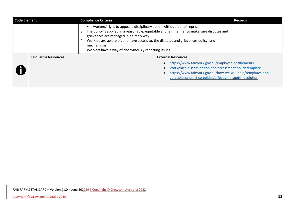| <b>Code Element</b> |                             | <b>Compliance Criteria</b>                                                                                                                                                                                                                                                                                                                                                                         |                                                                                                                                                                                                                                                                      | Records |
|---------------------|-----------------------------|----------------------------------------------------------------------------------------------------------------------------------------------------------------------------------------------------------------------------------------------------------------------------------------------------------------------------------------------------------------------------------------------------|----------------------------------------------------------------------------------------------------------------------------------------------------------------------------------------------------------------------------------------------------------------------|---------|
|                     |                             | workers' right to appeal a disciplinary action without fear of reprisal<br>$\bullet$<br>The policy is applied in a reasonable, equitable and fair manner to make sure disputes and<br>grievances are managed in a timely way<br>Workers are aware of, and have access to, the disputes and grievances policy, and<br>4.<br>mechanisms<br>Workers have a way of anonymously reporting issues.<br>5. |                                                                                                                                                                                                                                                                      |         |
|                     | <b>Fair Farms Resources</b> |                                                                                                                                                                                                                                                                                                                                                                                                    | <b>External Resources</b><br>https://www.fairwork.gov.au/employee-entitlements<br>Workplace discrimination and harassment policy template<br>https://www.fairwork.gov.au/how-we-will-help/templates-and-<br>guides/best-practice-guides/effective-dispute-resolution |         |

FAIR FARMS STANDARD – Version  $\underline{24.0}$  – June 2022 $\underline{19}$   $\underline{L}$  Copyright  $\odot$  Growcom Australia 2022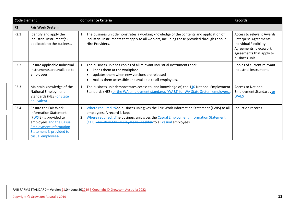<span id="page-12-0"></span>

| <b>Code Element</b> |                                                                                                                                                                                                     | <b>Compliance Criteria</b>                                                                                                                                                                                                                                                                                                   | <b>Records</b>                                                                                                                                       |
|---------------------|-----------------------------------------------------------------------------------------------------------------------------------------------------------------------------------------------------|------------------------------------------------------------------------------------------------------------------------------------------------------------------------------------------------------------------------------------------------------------------------------------------------------------------------------|------------------------------------------------------------------------------------------------------------------------------------------------------|
| F <sub>2</sub>      | <b>Fair Work System</b>                                                                                                                                                                             |                                                                                                                                                                                                                                                                                                                              |                                                                                                                                                      |
| F2.1                | Identify and apply the<br>Industrial Instrument(s)<br>applicable to the business.                                                                                                                   | The business unit demonstrates a working knowledge of the contents and application of<br>1.<br>Industrial Instruments that apply to all workers, including those provided through Labour<br>Hire Providers.                                                                                                                  | Access to relevant Awards,<br>Enterprise Agreements,<br>Individual Flexibility<br>Agreements, piecework<br>agreements that apply to<br>business unit |
| F2.2                | Ensure applicable Industrial<br>Instruments are available to<br>employees.                                                                                                                          | The business unit has copies of all relevant Industrial Instruments and:<br>keeps them at the workplace<br>updates them when new versions are released<br>makes them accessible and available to all employees.                                                                                                              | Copies of current relevant<br><b>Industrial Instruments</b>                                                                                          |
| F2.3                | Maintain knowledge of the<br>National Employment<br>Standards (NES) or State<br>equivalent.                                                                                                         | The business unit demonstrates access to, and knowledge of, the 110 National Employment<br>1.<br>Standards (NES) or the WA employment standards (WAES) for WA State System employers.                                                                                                                                        | <b>Access to National</b><br><b>Employment Standards or</b><br><b>WAES</b>                                                                           |
| F2.4                | <b>Ensure the Fair Work</b><br><b>Information Statement</b><br>(FWSIS) is provided to<br>employees and the Casual<br><b>Employment Information</b><br>Statement is provided to<br>casual employees- | Where required, t <sub>T</sub> he business unit gives the Fair Work Information Statement (FWIS) to all<br>1.<br>employees. A record is kept<br>Where required, t <sub>T</sub> he business unit gives the Casual Employment Information Statement<br>2.<br>(CEIS) Fair Work My Employment Checklist to all casual employees. | Induction records                                                                                                                                    |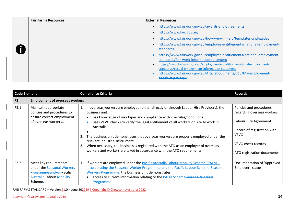| <b>Fair Farms Resources</b> | <b>External Resources</b>                                                                                                                                                                                                                                                                                                                   |
|-----------------------------|---------------------------------------------------------------------------------------------------------------------------------------------------------------------------------------------------------------------------------------------------------------------------------------------------------------------------------------------|
|                             | https://www.fairwork.gov.au/awards-and-agreements                                                                                                                                                                                                                                                                                           |
|                             | https://www.fwc.gov.au/                                                                                                                                                                                                                                                                                                                     |
|                             | https://www.fairwork.gov.au/how-we-will-help/templates-and-guides                                                                                                                                                                                                                                                                           |
|                             | https://www.fairwork.gov.au/employee-entitlements/national-employment-<br>standards                                                                                                                                                                                                                                                         |
|                             | https://www.fairwork.gov.au/employee-entitlements/national-employment-<br>standards/fair-work-information-statement<br>https://www.fairwork.gov.au/employment-conditions/national-employment-<br>standards/casual-employment-information-statement<br>https://www.fairwork.gov.au/ArticleDocuments/715/My-employment-<br>checklist.pdf.aspx |
|                             |                                                                                                                                                                                                                                                                                                                                             |

<span id="page-13-0"></span>

| <b>Code Element</b> |                                                                                                                                | <b>Compliance Criteria</b>                                                                                                                                                                                                                                                                                                                                                                                                                                                                                                                                                                    | <b>Records</b>                                                                                                                                                                   |
|---------------------|--------------------------------------------------------------------------------------------------------------------------------|-----------------------------------------------------------------------------------------------------------------------------------------------------------------------------------------------------------------------------------------------------------------------------------------------------------------------------------------------------------------------------------------------------------------------------------------------------------------------------------------------------------------------------------------------------------------------------------------------|----------------------------------------------------------------------------------------------------------------------------------------------------------------------------------|
| <b>F3</b>           | <b>Employment of overseas workers</b>                                                                                          |                                                                                                                                                                                                                                                                                                                                                                                                                                                                                                                                                                                               |                                                                                                                                                                                  |
| F3.1                | Maintain appropriate<br>policies and procedures to<br>ensure correct employment<br>of overseas workers.                        | If overseas workers are employed (either directly or through Labour Hire Providers), the<br>1.<br>business unit:<br>has knowledge of visa types and compliance with visa rules/conditions<br>uses VEVO checks to verify the legal entitlement of all workers on site to work in<br>Australia<br>The business unit demonstrates that overseas workers are properly employed under the<br>relevant Industrial Instrument.<br>When necessary, the business is registered with the ATO as an employer of overseas<br>3.<br>workers and workers are taxed in accordance with the ATO requirements. | Policies and procedures<br>regarding overseas workers<br>Labour Hire Agreement<br>Record of registration with<br><b>VEVO</b><br>VEVO check records<br>ATO registration documents |
| F3.2                | Meet key requirements<br>under the Seasonal Workers<br>Programme and/or-Pacific<br><b>Australia Labour Mobility</b><br>Scheme- | If workers are employed under the Pacific Australia Labour Mobility Scheme (PALM -<br>1.<br>incorporating the Seasonal Worker Programme and the Pacific Labour Scheme)Seasonal<br>Workers Programme, the business unit demonstrates:<br>access to current information relating to the PALM SchemeSeasonal Workers<br>Programme                                                                                                                                                                                                                                                                | Documentation of 'Approved<br>Employer'_-status                                                                                                                                  |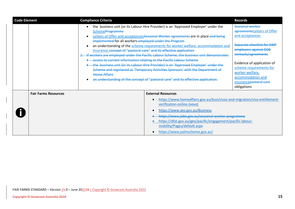| <b>Code Element</b> | <b>Compliance Criteria</b>                                                                       |                                                                                                                                                                                                                                                                                                                                                                                                                                                                                                                                                                                                                                                                                                                                                                                    | <b>Records</b>                                                                                                                                                                                                                                                                            |
|---------------------|--------------------------------------------------------------------------------------------------|------------------------------------------------------------------------------------------------------------------------------------------------------------------------------------------------------------------------------------------------------------------------------------------------------------------------------------------------------------------------------------------------------------------------------------------------------------------------------------------------------------------------------------------------------------------------------------------------------------------------------------------------------------------------------------------------------------------------------------------------------------------------------------|-------------------------------------------------------------------------------------------------------------------------------------------------------------------------------------------------------------------------------------------------------------------------------------------|
|                     | SchemeProgramme<br>implemented for all workers employed under the Program<br><b>Home Affairs</b> | the business unit (or its Labour Hire Provider) is an 'Approved Employer' under the<br>Letters of Offer and acceptances <del>Seasonal Worker agreements a</del> re in place and being<br>an understanding of the scheme requirements for worker welfare, accommodation and<br>insurance.concept of "pastoral care" and its effective application<br>If workers are employed under the Pacific Labour Scheme, the business unit demonstrates:<br>access to current information relating to the Pacific Labour Scheme<br>the business unit (or its Labour Hire Provider) is an 'Approved Employer' under the<br>Scheme and registered as 'Temporary Activities Sponsors' with the Department of<br>an understanding of the concept of "pastoral care" and its effective application. | Seasonal worker<br>agreements Letters of Offer<br>and acceptances<br>Separate checklist for SWP<br>employers against DOE<br>contacts/agreements<br>Evidence of application of<br>scheme requirements for<br>worker welfare,<br>accommodation and<br>insurancepastoral care<br>obligations |
|                     | <b>Fair Farms Resources</b>                                                                      | <b>External Resources</b><br>https://www.homeaffairs.gov.au/busi/visas-and-migration/visa-entitlement-<br>verification-online-(vevo)<br>https://www.ato.gov.au/Business<br>https://www.jobs.gov.au/seasonal-worker-programme<br>https://dfat.gov.au/geo/pacific/engagement/pacific-labour-<br>mobility/Pages/default.aspx<br>https://www.palmscheme.gov.au/                                                                                                                                                                                                                                                                                                                                                                                                                        |                                                                                                                                                                                                                                                                                           |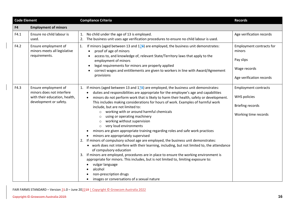<span id="page-15-0"></span>

| <b>Code Element</b> |                                                                                                              | <b>Compliance Criteria</b>                                                                                                                                                                                                                                                                                                                                                                                                                                                                                                                                                                                                                                                                                                                                                                                                                                                                                                                                                                                                                                                                                                                                                                                                         | <b>Records</b>                                                                                        |
|---------------------|--------------------------------------------------------------------------------------------------------------|------------------------------------------------------------------------------------------------------------------------------------------------------------------------------------------------------------------------------------------------------------------------------------------------------------------------------------------------------------------------------------------------------------------------------------------------------------------------------------------------------------------------------------------------------------------------------------------------------------------------------------------------------------------------------------------------------------------------------------------------------------------------------------------------------------------------------------------------------------------------------------------------------------------------------------------------------------------------------------------------------------------------------------------------------------------------------------------------------------------------------------------------------------------------------------------------------------------------------------|-------------------------------------------------------------------------------------------------------|
| F4                  | <b>Employment of minors</b>                                                                                  |                                                                                                                                                                                                                                                                                                                                                                                                                                                                                                                                                                                                                                                                                                                                                                                                                                                                                                                                                                                                                                                                                                                                                                                                                                    |                                                                                                       |
| F4.1                | Ensure no child labour is<br>used.                                                                           | No child under the age of 13 is employed.<br>1.<br>The business unit uses age verification procedures to ensure no child labour is used.<br>2.                                                                                                                                                                                                                                                                                                                                                                                                                                                                                                                                                                                                                                                                                                                                                                                                                                                                                                                                                                                                                                                                                     | Age verification records                                                                              |
| F4.2                | Ensure employment of<br>minors meets all legislative<br>requirements.                                        | If minors (aged between 13 and $1\overline{18}$ ) are employed, the business unit demonstrates:<br>1.<br>proof of age of minors<br>$\bullet$<br>access to, and knowledge of, relevant State/Territory laws that apply to the<br>employment of minors<br>legal requirements for minors are properly applied<br>correct wages and entitlements are given to workers in line with Award/Agreement<br>provisions                                                                                                                                                                                                                                                                                                                                                                                                                                                                                                                                                                                                                                                                                                                                                                                                                       | Employment contracts for<br>minors<br>Pay slips<br>Wage records<br>Age verification records           |
| F4.3                | Ensure employment of<br>minors does not interfere<br>with their education, health,<br>development or safety. | If minors (aged between 13 and 178) are employed, the business unit demonstrates:<br>1.<br>duties and responsibilities are appropriate for the employee's age and capabilities<br>minors do not perform work that is likely to harm their health, safety or development.<br>$\bullet$<br>This includes making considerations for hours of work. Examples of harmful work<br>include, but are not limited to:<br>working with or around harmful chemicals<br>$\circ$<br>using or operating machinery<br>$\circ$<br>working without supervision<br>$\circ$<br>very loud environments<br>$\circ$<br>minors are given appropriate training regarding roles and safe work practices<br>minors are appropriately supervised<br>2. If minors of compulsory school age are employed, the business unit demonstrates:<br>• work does not interfere with their learning, including, but not limited to, the attendance<br>of compulsory education<br>If minors are employed, procedures are in place to ensure the working environment is<br>3.<br>appropriate for minors. This includes, but is not limited to, limiting exposure to:<br>vulgar language<br>alcohol<br>non-prescription drugs<br>images or conversations of a sexual nature | <b>Employment contracts</b><br><b>WHS policies</b><br><b>Briefing records</b><br>Working time records |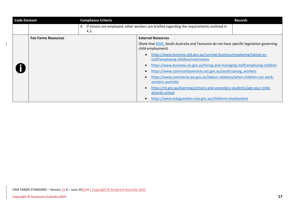| <b>Code Element</b> |                             | <b>Compliance Criteria</b>                                                                          |                   |                                                                                                                | <b>Records</b> |
|---------------------|-----------------------------|-----------------------------------------------------------------------------------------------------|-------------------|----------------------------------------------------------------------------------------------------------------|----------------|
|                     |                             | 4. If minors are employed, other workers are briefed regarding the requirements outlined in<br>4.3. |                   |                                                                                                                |                |
|                     | <b>Fair Farms Resources</b> | <b>External Resources</b>                                                                           |                   |                                                                                                                |                |
|                     |                             |                                                                                                     | child employment) | (Note that NSW, South Australia and Tasmania do not have specific legislation governing                        |                |
|                     |                             |                                                                                                     |                   | https://www.business.qld.gov.au/running-business/employing/taking-on-<br>staff/employing-children/restrictions |                |
|                     |                             |                                                                                                     |                   | https://www.business.vic.gov.au/hiring-and-managing-staff/employing-children                                   |                |
|                     |                             |                                                                                                     |                   | https://www.communityservices.act.gov.au/youth/young_workers                                                   |                |
|                     |                             |                                                                                                     |                   | https://www.commerce.wa.gov.au/labour-relations/when-children-can-work-<br>western-australia                   |                |
|                     |                             |                                                                                                     |                   | https://nt.gov.au/learning/primary-and-secondary-students/age-your-child-<br>attends-school                    |                |
|                     |                             |                                                                                                     |                   | https://www.kidsguardian.nsw.gov.au/childrens-employment                                                       |                |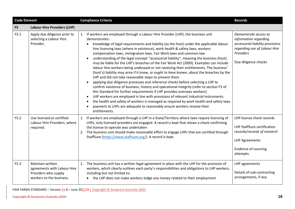<span id="page-17-0"></span>

| <b>Code Element</b> |                                                                                                     | <b>Compliance Criteria</b>                                                                                                                                                                                                                                                                                                                                                                                                                                                                                                                                                                                                                                                                                                                                                                                                                                                                                                                                                                                                                                                                                                                                                                                                                                                                                                                                                   | <b>Records</b>                                                                                                                                          |
|---------------------|-----------------------------------------------------------------------------------------------------|------------------------------------------------------------------------------------------------------------------------------------------------------------------------------------------------------------------------------------------------------------------------------------------------------------------------------------------------------------------------------------------------------------------------------------------------------------------------------------------------------------------------------------------------------------------------------------------------------------------------------------------------------------------------------------------------------------------------------------------------------------------------------------------------------------------------------------------------------------------------------------------------------------------------------------------------------------------------------------------------------------------------------------------------------------------------------------------------------------------------------------------------------------------------------------------------------------------------------------------------------------------------------------------------------------------------------------------------------------------------------|---------------------------------------------------------------------------------------------------------------------------------------------------------|
| F5                  | <b>Labour Hire Providers (LHP)</b>                                                                  |                                                                                                                                                                                                                                                                                                                                                                                                                                                                                                                                                                                                                                                                                                                                                                                                                                                                                                                                                                                                                                                                                                                                                                                                                                                                                                                                                                              |                                                                                                                                                         |
| F5.1                | Apply due diligence prior to<br>selecting a Labour Hire<br>Provider.                                | If workers are employed through a Labour Hire Provider (LHP), the business unit<br>1.<br>demonstrates:<br>knowledge of legal requirements and liability (as the host) under the applicable labour<br>hire licensing laws (where in existence), work health & safety laws, workers<br>compensation laws, immigration laws, Fair Work laws and common law<br>understanding of the legal concept "accessorial liability", meaning the business (host)<br>$\bullet$<br>may be liable for the LHP's breaches of the Fair Work Act (2009). Examples can include<br>labour hire workers being underpaid or not receiving their entitlements. The business'<br>(host's) liability may arise if it knew, or ought to have known, about the breaches by the<br>LHP and did not take reasonable steps to prevent them<br>applying due diligence processes and reference checks before selecting a LHP to<br>$\bullet$<br>confirm existence of business, history and operational integrity (refer to section F3 of<br>this Standard for further requirements if LHP provides overseas workers)<br>LHP workers are employed in line with provisions of relevant Industrial Instruments<br>$\bullet$<br>the health and safety of workers is managed as required by work health and safety laws<br>payment to LHPs are adequate to reasonably ensure workers receive their<br>entitlements. | Demonstrate access to<br>information regarding<br>accessorial liability provisions<br>regarding use of Labour Hire<br>Providers<br>Due diligence checks |
| F5.2                | Use licensed or certified<br>Labour Hire Providers, where<br>required.                              | If workers are employed through a LHP in a State/Territory where laws require licensing of<br>1.<br>LHPs, only licensed providers are engaged. A record is kept that shows a check confirming<br>the license to operate was undertaken<br>The business unit should make reasonable effort to engage LHPs that are certified through<br>2.<br>StaffSure (https://www.staffsure.org/). A record is kept.                                                                                                                                                                                                                                                                                                                                                                                                                                                                                                                                                                                                                                                                                                                                                                                                                                                                                                                                                                       | LHP license check records<br>LHP StaffSure certification<br>records/records of research<br><b>LHP Agreements</b><br>Evidence of sourcing<br>attempts.   |
| F5.3                | Maintain written<br>agreements with Labour Hire<br>Providers who supply<br>workers to the business. | The business unit has a written legal agreement in place with the LHP for the provision of<br>1.<br>workers, which clearly outlines each party's responsibilities and obligations to LHP workers,<br>including but not limited to:<br>• the LHP does not make workers lodge any money related to their employment                                                                                                                                                                                                                                                                                                                                                                                                                                                                                                                                                                                                                                                                                                                                                                                                                                                                                                                                                                                                                                                            | LHP agreements<br>Details of sub-contracting<br>arrangements, if any                                                                                    |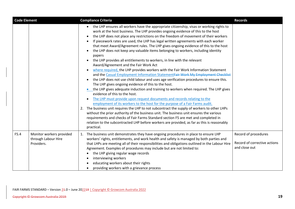| <b>Code Element</b> |                                                               | <b>Compliance Criteria</b>                                                                                                                                                                                                                                                                                                                                                                                                                                                                                                                                                                                                                                                                                                                                                                                                                                                                                                                                                                                                                                                                                                                                                                                                                                                                                                                                                                                                                                                                                                                                                                                                                                                                                                  | <b>Records</b>                                                        |
|---------------------|---------------------------------------------------------------|-----------------------------------------------------------------------------------------------------------------------------------------------------------------------------------------------------------------------------------------------------------------------------------------------------------------------------------------------------------------------------------------------------------------------------------------------------------------------------------------------------------------------------------------------------------------------------------------------------------------------------------------------------------------------------------------------------------------------------------------------------------------------------------------------------------------------------------------------------------------------------------------------------------------------------------------------------------------------------------------------------------------------------------------------------------------------------------------------------------------------------------------------------------------------------------------------------------------------------------------------------------------------------------------------------------------------------------------------------------------------------------------------------------------------------------------------------------------------------------------------------------------------------------------------------------------------------------------------------------------------------------------------------------------------------------------------------------------------------|-----------------------------------------------------------------------|
|                     |                                                               | the LHP ensures all workers have the appropriate citizenship, visas or working rights to<br>work at the host business. The LHP provides ongoing evidence of this to the host<br>the LHP does not place any restrictions on the freedom of movement of their workers<br>$\bullet$<br>If piecework rates are used, the LHP has legal written agreements with each worker<br>$\bullet$<br>that meet Award/Agreement rules. The LHP gives ongoing evidence of this to the host<br>the LHP does not keep any valuable items belonging to workers, including identity<br>papers<br>the LHP provides all entitlements to workers, in line with the relevant<br>Award/Agreement and the Fair Work Act<br>where required, the LHP provides workers with the Fair Work Information Statement<br>and the Casual Employment Information Statement Fair Work My Employment Checklist<br>the LHP does not use child labour and uses age verification procedures to ensure this.<br>The LHP gives ongoing evidence of this to the host.<br>the LHP gives adequate induction and training to workers when required. The LHP gives<br>$\bullet$<br>evidence of this to the host.<br>The LHP must provide upon request documents and records relating to the<br>employment of its workers to the host for the purpose of a Fair Farms audit.<br>The business unit requires the LHP to not subcontract the supply of workers to other LHPs<br>2.<br>without the prior authority of the business unit. The business unit ensures the various<br>requirements and checks of Fair Farms Standard section F5 are met and completed in<br>relation to the subcontracted LHP before workers are provided, as far as this is reasonably<br>practical. |                                                                       |
| F5.4                | Monitor workers provided<br>through Labour Hire<br>Providers. | The business unit demonstrates they have ongoing procedures in place to ensure LHP<br>1.<br>workers' rights, entitlements, and work health and safety is managed by both parties and<br>that LHPs are meeting all of their responsibilities and obligations outlined in the Labour Hire<br>Agreement. Examples of procedures may include but are not limited to:<br>the LHP giving regular wage records<br>interviewing workers<br>educating workers about their rights<br>providing workers with a grievance process                                                                                                                                                                                                                                                                                                                                                                                                                                                                                                                                                                                                                                                                                                                                                                                                                                                                                                                                                                                                                                                                                                                                                                                                       | Record of procedures<br>Record of corrective actions<br>and close out |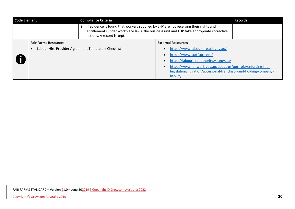| <b>Code Element</b> |                             | <b>Compliance Criteria</b>                                                                                         |                                                                                                                                                 | <b>Records</b> |
|---------------------|-----------------------------|--------------------------------------------------------------------------------------------------------------------|-------------------------------------------------------------------------------------------------------------------------------------------------|----------------|
|                     |                             | If evidence is found that workers supplied by LHP are not receiving their rights and<br>actions. A record is kept. | entitlements under workplace laws, the business unit and LHP take appropriate corrective                                                        |                |
|                     | <b>Fair Farms Resources</b> |                                                                                                                    | <b>External Resources</b>                                                                                                                       |                |
|                     |                             | Labour Hire Provider Agreement Template + Checklist                                                                | https://www.labourhire.qld.gov.au/                                                                                                              |                |
|                     |                             |                                                                                                                    | https://www.staffsure.org/                                                                                                                      |                |
|                     |                             |                                                                                                                    | https://labourhireauthority.vic.gov.au/                                                                                                         |                |
|                     |                             |                                                                                                                    | https://www.fairwork.gov.au/about-us/our-role/enforcing-the-<br>legislation/litigation/accessorial-franchisor-and-holding-company-<br>liability |                |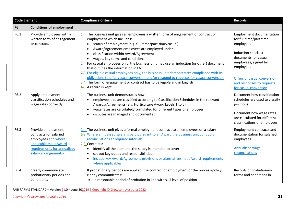<span id="page-20-0"></span>

| <b>Code Element</b> |                                                                                                                                                     | <b>Compliance Criteria</b>                                                                                                                                                                                                                                                                                                                                                                                                                                                                                                                                                                                                                                                                                                                   | <b>Records</b>                                                                                                                                                                                                                                   |
|---------------------|-----------------------------------------------------------------------------------------------------------------------------------------------------|----------------------------------------------------------------------------------------------------------------------------------------------------------------------------------------------------------------------------------------------------------------------------------------------------------------------------------------------------------------------------------------------------------------------------------------------------------------------------------------------------------------------------------------------------------------------------------------------------------------------------------------------------------------------------------------------------------------------------------------------|--------------------------------------------------------------------------------------------------------------------------------------------------------------------------------------------------------------------------------------------------|
| F <sub>6</sub>      | <b>Conditions of employment</b>                                                                                                                     |                                                                                                                                                                                                                                                                                                                                                                                                                                                                                                                                                                                                                                                                                                                                              |                                                                                                                                                                                                                                                  |
| F6.1                | Provide employees with a<br>written form of engagement<br>or contract.                                                                              | The business unit gives all employees a written form of engagement or contract of<br>employment which includes:<br>status of employment (e.g. full-time/part-time/casual)<br>Award/Agreement employees are employed under<br>classification within Award/Agreement<br>wages, key terms and conditions<br>2. For casual employees only, the business unit may use an induction (or other) document<br>that outlines the information in F6.1.1<br>2.3. For eligible casual employees only, the business unit demonstrates compliance with its<br>obligations to offer casual conversion and/or respond to requests for casual conversion<br>3.4. The form of engagement or contract has to be legible and in English<br>4.5. A record is kept. | <b>Employment documentation</b><br>for full time/part time<br>employees<br>Induction checklist<br>documents for casual<br>employees, signed by<br>employees<br>Offers of casual conversion<br>and responses to requests<br>for casual conversion |
| F6.2                | Apply employment<br>classification schedules and<br>wage rates correctly.                                                                           | 1. The business unit demonstrates how:<br>employee jobs are classified according to Classification Schedules in the relevant<br>Awards/Agreements (e.g. Horticulture Award Levels 1 to 5)<br>wage rates are calculated/formulated for different types of employees<br>disputes are managed and documented.                                                                                                                                                                                                                                                                                                                                                                                                                                   | Document how classification<br>schedules are used to classify<br>positions<br>Document how wage rates<br>are calculated for different<br>classifications of employees                                                                            |
| F6.3                | Provide employment<br>contracts for salaried<br>employees and where<br>applicable meet Award<br>requirements for annualised<br>salary arrangements- | 1. The business unit gives a formal employment contract to all employees on a salary<br>4.2. Where annualised salary is paid pursuant to an Award the business unit conducts<br>reconciliations at required intervals<br>2.3. Contracts:<br>identify all the elements the salary is intended to cover<br>$\bullet$<br>set out key duties and responsibilities<br>include key Award/Agreement provisions or alternativesmeet Award requirements<br>where applicable-                                                                                                                                                                                                                                                                          | Employment contracts and<br>documentation for salaried<br>employees<br><b>Annualised wage</b><br>reconciliations                                                                                                                                 |
| F6.4                | Clearly communicate<br>probationary periods and<br>conditions.                                                                                      | If probationary periods are applied, the contract of employment or the process/policy<br>1.<br>clearly communicates:<br>• a reasonable period of probation in line with skill level of position                                                                                                                                                                                                                                                                                                                                                                                                                                                                                                                                              | Records of probationary<br>terms and conditions in                                                                                                                                                                                               |

FAIR FARMS STANDARD – Version  $\underline{24.0}$  – June 20 $\underline{2249}$   $\underline{!}$  Copyright  $\odot$  Growcom Australia 2022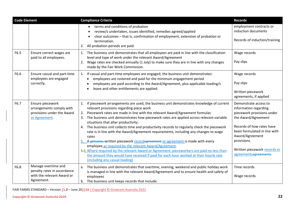| <b>Code Element</b> |                                                                                                | <b>Compliance Criteria</b>                                                                                                                                                                                                                                                                                                                                                                                                                                                                                                                                                                                                                                                                                                                                                                                                                                                                                                                   | <b>Records</b>                                                                                                                                                                                                                                             |
|---------------------|------------------------------------------------------------------------------------------------|----------------------------------------------------------------------------------------------------------------------------------------------------------------------------------------------------------------------------------------------------------------------------------------------------------------------------------------------------------------------------------------------------------------------------------------------------------------------------------------------------------------------------------------------------------------------------------------------------------------------------------------------------------------------------------------------------------------------------------------------------------------------------------------------------------------------------------------------------------------------------------------------------------------------------------------------|------------------------------------------------------------------------------------------------------------------------------------------------------------------------------------------------------------------------------------------------------------|
|                     |                                                                                                | terms and conditions of probation<br>$\bullet$<br>review/s undertaken, issues identified, remedies agreed/applied<br>$\bullet$<br>clear outcomes - that is, confirmation of employment, extension of probation or<br>$\bullet$<br>termination.<br>All probation periods are paid.<br>2.                                                                                                                                                                                                                                                                                                                                                                                                                                                                                                                                                                                                                                                      | employment contracts or<br>induction documents<br>Records of induction/training                                                                                                                                                                            |
| F6.5                | Ensure correct wages are<br>paid to all employees.                                             | The business unit demonstrates that all employees are paid in line with the classification<br>level and type of work under the relevant Award/Agreement<br>Wage rates are checked annually (1 July) to make sure they are in line with any changes<br>2.<br>made by the Fair Work Commission.                                                                                                                                                                                                                                                                                                                                                                                                                                                                                                                                                                                                                                                | Wage records<br>Pay slips                                                                                                                                                                                                                                  |
| F6.6                | Ensure casual and part-time<br>employees are engaged<br>correctly.                             | If casual and part-time employees are engaged, the business unit demonstrates:<br>1.<br>employees are rostered and paid for the minimum engagement period<br>employees are paid according to the Award/Agreement, plus applicable loading/s<br>leave and other entitlements are applied.                                                                                                                                                                                                                                                                                                                                                                                                                                                                                                                                                                                                                                                     | Wage records<br>Pay slips<br>Written piecework<br>agreements, if applied                                                                                                                                                                                   |
| F6.7                | Ensure piecework<br>arrangements comply with<br>provisions under the Award<br>or Agreement.    | If piecework arrangements are used, the business unit demonstrates knowledge of current<br>1.<br>relevant provisions regarding piece work<br>Piecework rates are made in line with the relevant Award/Agreement formulas<br>2.<br>The business unit demonstrates how piecework rates are applied across relevant variable<br>3.<br>situations that alter productivity.<br>4. The business unit collects time and productivity records to regularly check the piecework<br>rate is in line with the Award/Agreement requirements, including any changes to wage<br>rates<br>5. A genuine, written piecework recordagreement or agreement is made with every<br>employee as required by the relevant Award/Agreement.<br>5-6. Where required by the relevant Award or Agreement, pieceworkers are paid no less than<br>the amount they would have received if paid for each hour worked at their hourly rate<br>(including any casual loading) | Demonstrate access to<br>information regarding<br>piecework provisions under<br>the Award/Agreement<br>Records of how rates have<br>been formulated in line with<br>Award/Agreement<br>provisions.<br>Written piecework records or<br>agreementsagreements |
| F6.8                | Manage overtime and<br>penalty rates in accordance<br>with the relevant Award or<br>Agreement. | The business unit demonstrates that overtime, evening, weekend and public holiday work<br>a.<br>is managed in line with the relevant Award/Agreement and to ensure health and safety of<br>employees<br>b. The business unit keeps records that include:                                                                                                                                                                                                                                                                                                                                                                                                                                                                                                                                                                                                                                                                                     | Time records<br>Wage records                                                                                                                                                                                                                               |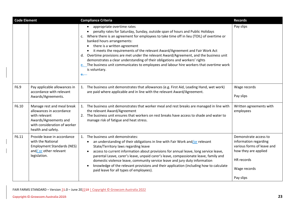| <b>Code Element</b> |                                                                                                                                                        | <b>Compliance Criteria</b>                                                                                                                                                                                                                                                                                                                                                                                                                                                                                                                                                                                                                                | <b>Records</b>                                                                                                                                  |
|---------------------|--------------------------------------------------------------------------------------------------------------------------------------------------------|-----------------------------------------------------------------------------------------------------------------------------------------------------------------------------------------------------------------------------------------------------------------------------------------------------------------------------------------------------------------------------------------------------------------------------------------------------------------------------------------------------------------------------------------------------------------------------------------------------------------------------------------------------------|-------------------------------------------------------------------------------------------------------------------------------------------------|
|                     |                                                                                                                                                        | appropriate overtime rates<br>penalty rates for Saturday, Sunday, outside span of hours and Public Holidays<br>c. Where there is an agreement for employees to take time off in lieu (TOIL) of overtime or<br>banked hours arrangements:<br>there is a written agreement<br>it meets the requirements of the relevant Award/Agreement and Fair Work Act<br>d. Overtime provisions are met under the relevant Award/Agreement, and the business unit<br>demonstrates a clear understanding of their obligations and workers' rights<br>e. The business unit communicates to employees and labour hire workers that overtime work<br>is voluntary.<br>$e -$ | Pay slips                                                                                                                                       |
| F6.9                | Pay applicable allowances in<br>accordance with relevant<br>Awards/Agreements.                                                                         | The business unit demonstrates that allowances (e.g. First Aid, Leading Hand, wet work)<br>1.<br>are paid where applicable and in line with the relevant Award/Agreement.                                                                                                                                                                                                                                                                                                                                                                                                                                                                                 | Wage records<br>Pay slips                                                                                                                       |
| F6.10               | Manage rest and meal break<br>allowances in accordance<br>with relevant<br>Awards/Agreements and<br>with consideration of worker<br>health and safety. | The business unit demonstrates that worker meal and rest breaks are managed in line with<br>the relevant Award/Agreement<br>2. The business unit ensures that workers on rest breaks have access to shade and water to<br>manage risk of fatigue and heat stress.                                                                                                                                                                                                                                                                                                                                                                                         | Written agreements with<br>employees                                                                                                            |
| F6.11               | Provide leave in accordance<br>with the National<br><b>Employment Standards (NES)</b><br>and/or other relevant<br>legislation.                         | 1.<br>The business unit demonstrates:<br>an understanding of their obligations in line with Fair Work and/or relevant<br>$\bullet$<br>State/Territory laws regarding leave<br>access to current information about provisions for annual leave, long service leave,<br>parental Leave, carer's leave, unpaid carer's leave, compassionate leave, family and<br>domestic violence leave, community service leave and jury duty information<br>knowledge of the relevant provisions and their application (including how to calculate<br>paid leave for all types of employees).                                                                             | Demonstrate access to<br>information regarding<br>various forms of leave and<br>how they are applied<br>HR records<br>Wage records<br>Pay slips |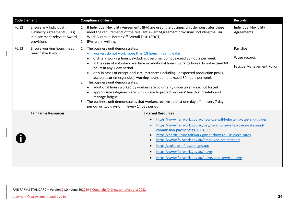| <b>Code Element</b> |                                                                                                              | <b>Compliance Criteria</b>                                                                                                                                                                                                                                                                                                                                                                                                                                                                                                                                                                                                                                                                                                                                                                                                                                  |                                                                                                                                                                                                                                                                                                                                                                                                                             | <b>Records</b>                                                |
|---------------------|--------------------------------------------------------------------------------------------------------------|-------------------------------------------------------------------------------------------------------------------------------------------------------------------------------------------------------------------------------------------------------------------------------------------------------------------------------------------------------------------------------------------------------------------------------------------------------------------------------------------------------------------------------------------------------------------------------------------------------------------------------------------------------------------------------------------------------------------------------------------------------------------------------------------------------------------------------------------------------------|-----------------------------------------------------------------------------------------------------------------------------------------------------------------------------------------------------------------------------------------------------------------------------------------------------------------------------------------------------------------------------------------------------------------------------|---------------------------------------------------------------|
| F6.12               | Ensure any Individual<br><b>Flexibility Agreements (IFAs)</b><br>in place meet relevant Award<br>provisions. | If Individual Flexibility Agreements (IFA) are used, the business unit demonstrates these<br>1.<br>meet the requirements of the relevant Award/Agreement provisions including the Fair<br>Work Australia 'Better Off Overall Test' (BOOT)<br>IFAs are in writing.<br>2.                                                                                                                                                                                                                                                                                                                                                                                                                                                                                                                                                                                     |                                                                                                                                                                                                                                                                                                                                                                                                                             | Individual Flexibility<br>Agreements                          |
| F6.13               | Ensure working hours meet<br>reasonable limits.                                                              | The business unit demonstrates:<br>workers do not work more than 18 hours in a single day<br>ordinary working hours, excluding overtime, do not exceed 38 hours per week<br>in the case of voluntary overtime or additional hours, working hours do not exceed 60<br>hours in any 7 day period<br>only in cases of exceptional circumstances (including unexpected production peaks,<br>accidents or emergencies), working hours do not exceed 80 hours per week<br>2. The business unit demonstrates:<br>additional hours worked by workers are voluntarily undertaken - i.e. not forced<br>$\bullet$<br>appropriate safeguards are put in place to protect workers' health and safety and<br>manage fatigue<br>The business unit demonstrates that workers receive at least one day off in every 7 day<br>period, or two days off in every 14 day period. |                                                                                                                                                                                                                                                                                                                                                                                                                             | Pay slips<br>Wage records<br><b>Fatigue Management Policy</b> |
|                     | <b>Fair Farms Resources</b>                                                                                  | <b>External Resources</b><br>$\bullet$                                                                                                                                                                                                                                                                                                                                                                                                                                                                                                                                                                                                                                                                                                                                                                                                                      | https://www.fairwork.gov.au/how-we-will-help/templates-and-guides<br>https://www.fairwork.gov.au/pay/minimum-wages/piece-rates-and-<br>commission-payments#1607-1623<br>https://horticulture.fairwork.gov.au/how-to-use-piece-rates<br>https://www.fairwork.gov.au/employee-entitlements<br>https://calculate.fairwork.gov.au/<br>https://www.fairwork.gov.au/leave<br>https://www.fairwork.gov.au/leave/long-service-leave |                                                               |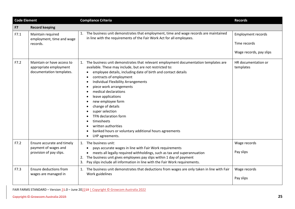<span id="page-24-0"></span>

| <b>Code Element</b> |                                                                                  | <b>Compliance Criteria</b>                                                                                                                                                                                                                                                                                                                                                                                                                                                                                                                                                                  | <b>Records</b>                                                       |
|---------------------|----------------------------------------------------------------------------------|---------------------------------------------------------------------------------------------------------------------------------------------------------------------------------------------------------------------------------------------------------------------------------------------------------------------------------------------------------------------------------------------------------------------------------------------------------------------------------------------------------------------------------------------------------------------------------------------|----------------------------------------------------------------------|
| F7                  | <b>Record keeping</b>                                                            |                                                                                                                                                                                                                                                                                                                                                                                                                                                                                                                                                                                             |                                                                      |
| F7.1                | Maintain required<br>employment, time and wage<br>records.                       | The business unit demonstrates that employment, time and wage records are maintained<br>1.<br>in line with the requirements of the Fair Work Act for all employees.                                                                                                                                                                                                                                                                                                                                                                                                                         | <b>Employment records</b><br>Time records<br>Wage records, pay slips |
| F7.2                | Maintain or have access to<br>appropriate employment<br>documentation templates. | The business unit demonstrates that relevant employment documentation templates are<br>1.<br>available. These may include, but are not restricted to:<br>employee details, including date of birth and contact details<br>contracts of employment<br>$\bullet$<br><b>Individual Flexibility Arrangements</b><br>piece work arrangements<br>medical declarations<br>leave applications<br>new employee form<br>change of details<br>super selection<br>TFN declaration form<br>timesheets<br>written authorities<br>banked hours or voluntary additional hours agreements<br>LHP agreements. | HR documentation or<br>templates                                     |
| F7.2                | Ensure accurate and timely<br>payment of wages and<br>provision of pay slips.    | The business unit:<br>1.<br>pays accurate wages in line with Fair Work requirements<br>meets all legally required withholdings, such as tax and superannuation<br>$\bullet$<br>The business unit gives employees pay slips within 1 day of payment<br>2.<br>Pay slips include all information in line with the Fair Work requirements.<br>3.                                                                                                                                                                                                                                                | Wage records<br>Pay slips                                            |
| F7.3                | Ensure deductions from<br>wages are managed in                                   | The business unit demonstrates that deductions from wages are only taken in line with Fair<br>1.<br>Work guidelines                                                                                                                                                                                                                                                                                                                                                                                                                                                                         | Wage records<br>Pay slips                                            |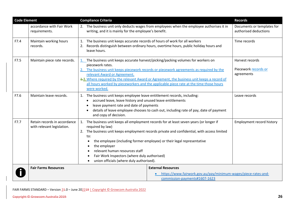| <b>Code Element</b> |                                                            | <b>Compliance Criteria</b>                                                                                                                                                                                                                                                                                                                                                                                                                                                           |                                                                                                                              | <b>Records</b>                                        |
|---------------------|------------------------------------------------------------|--------------------------------------------------------------------------------------------------------------------------------------------------------------------------------------------------------------------------------------------------------------------------------------------------------------------------------------------------------------------------------------------------------------------------------------------------------------------------------------|------------------------------------------------------------------------------------------------------------------------------|-------------------------------------------------------|
|                     | accordance with Fair Work<br>requirements.                 | writing, and it is mainly for the employee's benefit.                                                                                                                                                                                                                                                                                                                                                                                                                                | 2. The business unit only deducts wages from employees when the employee authorises it in                                    | Documents or templates for<br>authorised deductions   |
| F7.4                | Maintain working hours<br>records.                         | The business unit keeps accurate records of hours of work for all workers<br>1.<br>2.<br>leave hours.                                                                                                                                                                                                                                                                                                                                                                                | Records distinguish between ordinary hours, overtime hours, public holiday hours and                                         | Time records                                          |
| F7.5                | Maintain piece rate records.                               | 1. The business unit keeps accurate harvest/picking/packing volumes for workers on<br>piecework rates.<br>2. The business unit keeps piecework records or piecework agreements as required by the<br>relevant Award or Agreement.<br>4.3. Where required by the relevant Award or Agreement, the business unit keeps a record of<br>all hours worked by pieceworkers and the applicable piece rate at the time those hours<br>were worked.                                           |                                                                                                                              | Harvest records<br>Piecework records or<br>agreements |
| F7.6                | Maintain leave records.                                    | The business unit keeps employee leave entitlement records, including:<br>1.<br>accrued leave, leave history and unused leave entitlements<br>leave payment rate and date of payments<br>details of leave employee chooses to cash out, including rate of pay, date of payment<br>$\bullet$<br>and copy of decision.                                                                                                                                                                 |                                                                                                                              | Leave records                                         |
| F7.7                | Retain records in accordance<br>with relevant legislation. | 1. The business unit keeps all employment records for at least seven years (or longer if<br>required by law)<br>The business unit keeps employment records private and confidential, with access limited<br>2.<br>to:<br>the employee (including former employee) or their legal representative<br>$\bullet$<br>the employer<br>$\bullet$<br>relevant human resources staff<br>Fair Work Inspectors (where duly authorised)<br>union officials (where duly authorised).<br>$\bullet$ |                                                                                                                              | Employment record history                             |
|                     | <b>Fair Farms Resources</b>                                |                                                                                                                                                                                                                                                                                                                                                                                                                                                                                      | <b>External Resources</b><br>https://www.fairwork.gov.au/pay/minimum-wages/piece-rates-and-<br>commission-payments#1607-1623 |                                                       |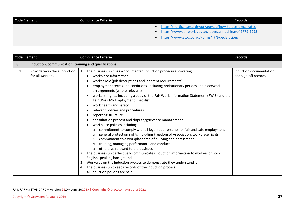| <b>Code Element</b> | <b>Compliance Criteria</b> | <b>Records</b>                                                                                                                                                           |
|---------------------|----------------------------|--------------------------------------------------------------------------------------------------------------------------------------------------------------------------|
|                     |                            | https://horticulture.fairwork.gov.au/how-to-use-piece-rates<br>https://www.fairwork.gov.au/leave/annual-leave#1779-1795<br>https://www.ato.gov.au/Forms/TFN-declaration/ |

<span id="page-26-0"></span>

| <b>Code Element</b> |                                                       | <b>Compliance Criteria</b>                                                                                                                                                                                                                                                                                                                                                                                                                                                                                                                                                                                                                                                                                                                                                                                                                                                                                                                                                                                                                                                                                                                                                                                                                                       | <b>Records</b>                                  |
|---------------------|-------------------------------------------------------|------------------------------------------------------------------------------------------------------------------------------------------------------------------------------------------------------------------------------------------------------------------------------------------------------------------------------------------------------------------------------------------------------------------------------------------------------------------------------------------------------------------------------------------------------------------------------------------------------------------------------------------------------------------------------------------------------------------------------------------------------------------------------------------------------------------------------------------------------------------------------------------------------------------------------------------------------------------------------------------------------------------------------------------------------------------------------------------------------------------------------------------------------------------------------------------------------------------------------------------------------------------|-------------------------------------------------|
| F8                  | Induction, communication, training and qualifications |                                                                                                                                                                                                                                                                                                                                                                                                                                                                                                                                                                                                                                                                                                                                                                                                                                                                                                                                                                                                                                                                                                                                                                                                                                                                  |                                                 |
| F8.1                | Provide workplace induction<br>for all workers.       | The business unit has a documented induction procedure, covering:<br>1.<br>workplace information<br>worker role (job descriptions and inherent requirements)<br>٠<br>employment terms and conditions, including probationary periods and piecework<br>٠<br>arrangements (where relevant)<br>workers' rights, including a copy of the Fair Work Information Statement (FWIS) and the<br>$\bullet$<br>Fair Work My Employment Checklist<br>work health and safety<br>$\bullet$<br>relevant policies and procedures<br>reporting structure<br>consultation process and dispute/grievance management<br>workplace policies including<br>commitment to comply with all legal requirements for fair and safe employment<br>general protection rights including Freedom of Association, workplace rights<br>commitment to a workplace free of bullying and harassment<br>training, managing performance and conduct<br>others, as relevant to the business<br>2. The business unit effectively communicates induction information to workers of non-<br>English speaking backgrounds<br>Workers sign the induction process to demonstrate they understand it<br>3.<br>The business unit keeps records of the induction process<br>4.<br>All induction periods are paid. | Induction documentation<br>and sign-off records |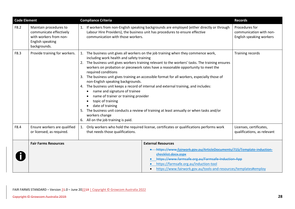| <b>Code Element</b> |                                                                                                                 | <b>Compliance Criteria</b>                                                                                                                                                                                                                                                                                  |                                                                                                                                                                                                                                                                                                                                                                                                                                                                                                                                                        | <b>Records</b>                                                        |
|---------------------|-----------------------------------------------------------------------------------------------------------------|-------------------------------------------------------------------------------------------------------------------------------------------------------------------------------------------------------------------------------------------------------------------------------------------------------------|--------------------------------------------------------------------------------------------------------------------------------------------------------------------------------------------------------------------------------------------------------------------------------------------------------------------------------------------------------------------------------------------------------------------------------------------------------------------------------------------------------------------------------------------------------|-----------------------------------------------------------------------|
| F8.2                | Maintain procedures to<br>communicate effectively<br>with workers from non-<br>English speaking<br>backgrounds. | 1.<br>communication with those workers.                                                                                                                                                                                                                                                                     | If workers from non-English speaking backgrounds are employed (either directly or through<br>Labour Hire Providers), the business unit has procedures to ensure effective                                                                                                                                                                                                                                                                                                                                                                              | Procedures for<br>communication with non-<br>English speaking workers |
| F8.3                | Provide training for workers.                                                                                   | 1.<br>including work health and safety training<br>2.<br>required conditions<br>3.<br>non-English speaking backgrounds.<br>name and signature of trainee<br>name of trainer or training provider<br>topic of training<br>date of training<br>5.<br>workers change<br>All on the job training is paid.<br>6. | The business unit gives all workers on the job training when they commence work,<br>The business unit gives workers training relevant to the workers' tasks. The training ensures<br>workers on probation or piecework rates have a reasonable opportunity to meet the<br>The business unit gives training an accessible format for all workers, especially those of<br>4. The business unit keeps a record of internal and external training, and includes:<br>The business unit conducts a review of training at least annually or when tasks and/or | <b>Training records</b>                                               |
| F8.4                | Ensure workers are qualified<br>or licensed, as required.                                                       | 1.<br>that needs those qualifications.                                                                                                                                                                                                                                                                      | Only workers who hold the required license, certificates or qualifications performs work                                                                                                                                                                                                                                                                                                                                                                                                                                                               | Licenses, certificates,<br>qualifications, as relevant                |
|                     | <b>Fair Farms Resources</b>                                                                                     |                                                                                                                                                                                                                                                                                                             | <b>External Resources</b>                                                                                                                                                                                                                                                                                                                                                                                                                                                                                                                              |                                                                       |
|                     |                                                                                                                 |                                                                                                                                                                                                                                                                                                             | https://www.fairwork.gov.au/ArticleDocuments/715/Template-induction-<br>checklist.docx.aspx<br>https://www.farmsafe.org.au/Farmsafe-Induction-App<br>https://farmsafe.org.au/induction-tool<br>https://www.fairwork.gov.au/tools-and-resources/templates#employ                                                                                                                                                                                                                                                                                        |                                                                       |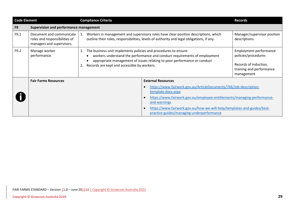<span id="page-28-0"></span>

| <b>Code Element</b> |                                                                                        | <b>Compliance Criteria</b>                                                                                     |                                                                                                                                                                                  | <b>Records</b>                                                                                                          |
|---------------------|----------------------------------------------------------------------------------------|----------------------------------------------------------------------------------------------------------------|----------------------------------------------------------------------------------------------------------------------------------------------------------------------------------|-------------------------------------------------------------------------------------------------------------------------|
| F <sub>9</sub>      | Supervision and performance management                                                 |                                                                                                                |                                                                                                                                                                                  |                                                                                                                         |
| F9.1                | Document and communicate<br>roles and responsibilities of<br>managers and supervisors. |                                                                                                                | Workers in management and supervisory roles have clear position descriptions, which<br>outline their roles, responsibilities, levels of authority and legal obligations, if any. | Manager/supervisor position<br>descriptions                                                                             |
| F9.2                | Manage worker<br>performance.                                                          | The business unit implements policies and procedures to ensure:<br>Records are kept and accessible by workers. | workers understand the performance and conduct requirements of employment<br>appropriate management of issues relating to poor performance or conduct                            | <b>Employment performance</b><br>policies/procedures<br>Records of induction,<br>training and performance<br>management |
|                     | <b>Fair Farms Resources</b>                                                            |                                                                                                                | <b>External Resources</b>                                                                                                                                                        |                                                                                                                         |
|                     |                                                                                        |                                                                                                                | https://www.fairwork.gov.au/ArticleDocuments/766/Job-description-<br>$\bullet$<br>template.docx.aspx                                                                             |                                                                                                                         |
|                     |                                                                                        |                                                                                                                | https://www.fairwork.gov.au/employee-entitlements/managing-performance-<br>$\bullet$<br>and-warnings                                                                             |                                                                                                                         |
|                     |                                                                                        |                                                                                                                | https://www.fairwork.gov.au/how-we-will-help/templates-and-guides/best-<br>$\bullet$<br>practice-guides/managing-underperformance                                                |                                                                                                                         |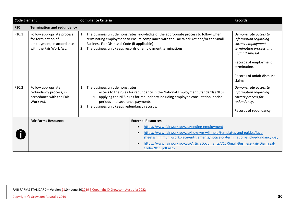<span id="page-29-0"></span>

| <b>Code Element</b> |                                                                                                          | <b>Compliance Criteria</b>                                                                                                                                                                                                                                                                                                 |                                                                                                                                                                                                                                                                                                                     | <b>Records</b>                                                                                                                                                                                         |
|---------------------|----------------------------------------------------------------------------------------------------------|----------------------------------------------------------------------------------------------------------------------------------------------------------------------------------------------------------------------------------------------------------------------------------------------------------------------------|---------------------------------------------------------------------------------------------------------------------------------------------------------------------------------------------------------------------------------------------------------------------------------------------------------------------|--------------------------------------------------------------------------------------------------------------------------------------------------------------------------------------------------------|
| <b>F10</b>          | <b>Termination and redundancy</b>                                                                        |                                                                                                                                                                                                                                                                                                                            |                                                                                                                                                                                                                                                                                                                     |                                                                                                                                                                                                        |
| F10.1               | Follow appropriate process<br>for termination of<br>employment, in accordance<br>with the Fair Work Act. | Business Fair Dismissal Code (if applicable)<br>2.                                                                                                                                                                                                                                                                         | The business unit demonstrates knowledge of the appropriate process to follow when<br>terminating employment to ensure compliance with the Fair Work Act and/or the Small<br>The business unit keeps records of employment terminations.                                                                            | Demonstrate access to<br>information regarding<br>correct employment<br>termination process and<br>unfair dismissal.<br>Records of employment<br>termination.<br>Records of unfair dismissal<br>claims |
| F10.2               | Follow appropriate<br>redundancy process, in<br>accordance with the Fair<br>Work Act.                    | The business unit demonstrates:<br>$\mathbf{1}$ .<br>access to the rules for redundancy in the National Employment Standards (NES)<br>$\circ$<br>applying the NES rules for redundancy including employee consultation, notice<br>$\circ$<br>periods and severance payments<br>The business unit keeps redundancy records. |                                                                                                                                                                                                                                                                                                                     | Demonstrate access to<br>information regarding<br>correct process for<br>redundancy.<br>Records of redundancy                                                                                          |
|                     | <b>Fair Farms Resources</b>                                                                              |                                                                                                                                                                                                                                                                                                                            | <b>External Resources</b>                                                                                                                                                                                                                                                                                           |                                                                                                                                                                                                        |
|                     |                                                                                                          |                                                                                                                                                                                                                                                                                                                            | https://www.fairwork.gov.au/ending-employment<br>https://www.fairwork.gov.au/how-we-will-help/templates-and-guides/fact-<br>sheets/minimum-workplace-entitlements/notice-of-termination-and-redundancy-pay<br>https://www.fairwork.gov.au/ArticleDocuments/715/Small-Business-Fair-Dismissal-<br>Code-2011.pdf.aspx |                                                                                                                                                                                                        |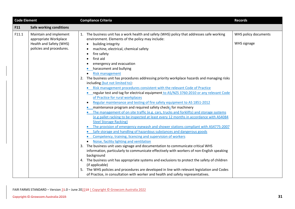<span id="page-30-0"></span>

| <b>Code Element</b> |                                                                                                        | <b>Compliance Criteria</b>                                                                                                                                                                                                                                              | <b>Records</b>                      |
|---------------------|--------------------------------------------------------------------------------------------------------|-------------------------------------------------------------------------------------------------------------------------------------------------------------------------------------------------------------------------------------------------------------------------|-------------------------------------|
| F11                 | <b>Safe working conditions</b>                                                                         |                                                                                                                                                                                                                                                                         |                                     |
| F11.1               | Maintain and implement<br>appropriate Workplace<br>Health and Safety (WHS)<br>policies and procedures. | The business unit has a work health and safety (WHS) policy that addresses safe working<br>1.<br>environment. Elements of the policy may include:<br>building integrity<br>machine, electrical, chemical safety<br>fire safety<br>first aid<br>emergency and evacuation | WHS policy documents<br>WHS signage |
|                     |                                                                                                        | harassment and bullying<br><b>Risk management</b>                                                                                                                                                                                                                       |                                     |
|                     |                                                                                                        | The business unit has procedures addressing priority workplace hazards and managing risks<br>2.<br>including (but not limited to):                                                                                                                                      |                                     |
|                     |                                                                                                        | Risk management procedures consistent with the relevant Code of Practice<br>regular test and tag for electrical equipment to AS/NZS 3760:2010 or any relevant Code<br>of Practice for rural workplaces                                                                  |                                     |
|                     |                                                                                                        | Regular maintenance and testing of fire safety equipment to AS 1851-2012<br>$\bullet$<br>maintenance program and required safety checks for machinery<br>The management of on site traffic (e.g. cars, trucks and forklifts) and storage systems                        |                                     |
|                     |                                                                                                        | (e.g pallet racking to be inspected at least every 12 months in accordance with AS4084<br><b>Steel Storage Racking)</b>                                                                                                                                                 |                                     |
|                     |                                                                                                        | The provision of emergency eyewash and shower stations compliant with AS4775-2007<br>$\bullet$<br>Safe storage and handling of hazardous substances and dangerous goods                                                                                                 |                                     |
|                     |                                                                                                        | Competency, training, licencing and supervision of workers<br>Noise, facility lighting and ventilation<br>The business unit uses signage and documentation to communicate critical WHS<br>3.                                                                            |                                     |
|                     |                                                                                                        | information, particularly to communicate effectively with workers of non-English speaking<br>background                                                                                                                                                                 |                                     |
|                     |                                                                                                        | 4. The business unit has appropriate systems and exclusions to protect the safety of children<br>(if applicable)<br>The WHS policies and procedures are developed in line with relevant legislation and Codes<br>5.                                                     |                                     |
|                     |                                                                                                        | of Practice, in consultation with worker and health and safety representatives.                                                                                                                                                                                         |                                     |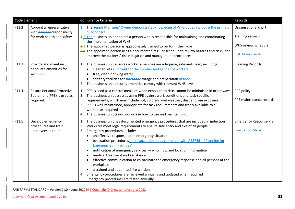| <b>Code Element</b> |                                                                                               | <b>Compliance Criteria</b>                                                                                                                                                                                                                                                                                                                                                                                                                                                                                                                                                                                                                                                                                                                                                                                  | <b>Records</b>                                                                                    |
|---------------------|-----------------------------------------------------------------------------------------------|-------------------------------------------------------------------------------------------------------------------------------------------------------------------------------------------------------------------------------------------------------------------------------------------------------------------------------------------------------------------------------------------------------------------------------------------------------------------------------------------------------------------------------------------------------------------------------------------------------------------------------------------------------------------------------------------------------------------------------------------------------------------------------------------------------------|---------------------------------------------------------------------------------------------------|
| F11.2               | Appoint a representative<br>with <i>primary</i> responsibility<br>for work health and safety. | 1. The Senior Manager/Owner demonstrates knowledge of WHS duties including the primary<br>duty of care<br>1.2. The business unit appoints a person who is responsible for maintaining and coordinating<br>the implementation of WHS<br>2.3. The appointed person is appropriately trained to perform their role<br>3.4. The appointed person uses a documented regular schedule to review hazards and risks, and<br>improve the business' risk mitigation and management procedures.                                                                                                                                                                                                                                                                                                                        | Organisational chart<br><b>Training records</b><br>WHS review schedule<br><b>Risk Assessments</b> |
| F11.3               | Provide and maintain<br>adequate amenities for<br>workers.                                    | 1. The business unit ensures worker amenities are adequate, safe and clean, including:<br>clean toilets sufficient for the number and gender of workers<br>free, clean drinking water<br>sanitary facilities for safefood storage and preparation of food<br>The business unit ensures amenities comply with relevant WHS laws.<br>2.                                                                                                                                                                                                                                                                                                                                                                                                                                                                       | <b>Cleaning Records</b>                                                                           |
| F11.4               | <b>Ensure Personal Protective</b><br>Equipment (PPE) is used as<br>required.                  | PPE is used as a control measure when exposure to risks cannot be minimised in other ways<br>1.<br>The business unit assesses using PPE against work conditions and task-specific<br>requirements, which may include hot, cold and wet weather, dust and sun exposure<br>PPE is well-maintained, appropriate for task requirements and freely available to all<br>3.<br>workers as required<br>The business unit trains workers in how to use and maintain PPE.<br>4.                                                                                                                                                                                                                                                                                                                                       | PPE policy<br>PPE maintenance records                                                             |
| F11.5               | Develop emergency<br>procedures and train<br>employees in them.                               | The business unit has documented emergency procedures that are included in induction<br>1.<br>Worksites meet legal requirements to ensure safe entry and exit of all people<br>2.<br>Emergency procedures include:<br>3.<br>an effective response to an emergency situation<br>evacuation procedures and evacuation maps compliant with AS3745 - "Planning for<br><b>Emergencies in Facilities"</b><br>notification of emergency services - who, how and location information<br>$\bullet$<br>medical treatment and assistance<br>effective communication to co-ordinate the emergency response and all persons at the<br>workplace<br>a trained and appointed fire warden<br>Emergency procedures are reviewed annually and updated when required<br>4.<br>Emergency procedures are tested annually.<br>5. | <b>Emergency Response Plan</b><br><b>Evacuation Maps</b>                                          |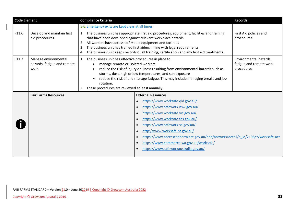| <b>Code Element</b> |                                                              | <b>Compliance Criteria</b>                                                                                                                                                                                                                                                                                                                                                                                                        |                                                                                                                                                                                                                                                                                                                                                                                                                                                                                                                                               | <b>Records</b>                                                  |
|---------------------|--------------------------------------------------------------|-----------------------------------------------------------------------------------------------------------------------------------------------------------------------------------------------------------------------------------------------------------------------------------------------------------------------------------------------------------------------------------------------------------------------------------|-----------------------------------------------------------------------------------------------------------------------------------------------------------------------------------------------------------------------------------------------------------------------------------------------------------------------------------------------------------------------------------------------------------------------------------------------------------------------------------------------------------------------------------------------|-----------------------------------------------------------------|
|                     |                                                              | 5.6. Emergency exits are kept clear at all times.                                                                                                                                                                                                                                                                                                                                                                                 |                                                                                                                                                                                                                                                                                                                                                                                                                                                                                                                                               |                                                                 |
| F11.6               | Develop and maintain first<br>aid procedures.                | The business unit has appropriate first aid procedures, equipment, facilities and training<br>1.<br>that have been developed against relevant workplace hazards<br>All workers have access to first aid equipment and facilities<br>The business unit has trained first aiders in line with legal requirements<br>3.<br>The business unit keeps records of all training, certification and any first aid treatments.<br>4.        |                                                                                                                                                                                                                                                                                                                                                                                                                                                                                                                                               | First Aid policies and<br>procedures                            |
| F11.7               | Manage environmental<br>hazards, fatigue and remote<br>work. | The business unit has effective procedures in place to<br>manage remote or isolated workers<br>$\bullet$<br>reduce the risk of injury or illness resulting from environmental hazards such as:<br>storms, dust, high or low temperatures, and sun exposure<br>reduce the risk of and manage fatigue. This may include managing breaks and job<br>$\bullet$<br>rotation.<br>These procedures are reviewed at least annually.<br>2. |                                                                                                                                                                                                                                                                                                                                                                                                                                                                                                                                               | Environmental hazards,<br>fatigue and remote work<br>procedures |
|                     | <b>Fair Farms Resources</b>                                  |                                                                                                                                                                                                                                                                                                                                                                                                                                   | <b>External Resources</b><br>https://www.worksafe.qld.gov.au/<br>$\bullet$<br>https://www.safework.nsw.gov.au/<br>$\bullet$<br>https://www.worksafe.vic.gov.au/<br>$\bullet$<br>https://www.worksafe.tas.gov.au/<br>$\bullet$<br>https://www.safework.sa.gov.au/<br>$\bullet$<br>http://www.worksafe.nt.gov.au/<br>$\bullet$<br>https://www.accesscanberra.act.gov.au/app/answers/detail/a_id/2198/~/worksafe-act<br>$\bullet$<br>https://www.commerce.wa.gov.au/worksafe/<br>$\bullet$<br>https://www.safeworkaustralia.gov.au/<br>$\bullet$ |                                                                 |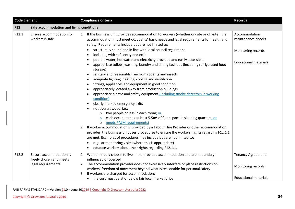<span id="page-33-0"></span>

| <b>Code Element</b> |                                                                           | <b>Compliance Criteria</b>                                                                                                                                                                                                                                                                                                                                                                                                                                                                                                                                                                                                                                                                                                                                                   | <b>Records</b>                                            |
|---------------------|---------------------------------------------------------------------------|------------------------------------------------------------------------------------------------------------------------------------------------------------------------------------------------------------------------------------------------------------------------------------------------------------------------------------------------------------------------------------------------------------------------------------------------------------------------------------------------------------------------------------------------------------------------------------------------------------------------------------------------------------------------------------------------------------------------------------------------------------------------------|-----------------------------------------------------------|
| F12                 | Safe accommodation and living conditions                                  |                                                                                                                                                                                                                                                                                                                                                                                                                                                                                                                                                                                                                                                                                                                                                                              |                                                           |
| F12.1               | Ensure accommodation for<br>workers is safe.                              | If the business unit provides accommodation to workers (whether on-site or off-site), the<br>1.<br>accommodation must meet occupants' basic needs and legal requirements for health and<br>safety. Requirements include but are not limited to:<br>structurally sound and in line with local council regulations                                                                                                                                                                                                                                                                                                                                                                                                                                                             | Accommodation<br>maintenance checks<br>Monitoring records |
|                     |                                                                           | lockable, with safe entry and exit<br>potable water, hot water and electricity provided and easily accessible<br>appropriate toilets, washing, laundry and dining facilities (including refrigerated food<br>storage)                                                                                                                                                                                                                                                                                                                                                                                                                                                                                                                                                        | <b>Educational materials</b>                              |
|                     |                                                                           | sanitary and reasonably free from rodents and insects<br>adequate lighting, heating, cooling and ventilation<br>fittings, appliances and equipment in good condition<br>appropriately located away from production buildings<br>appropriate alarms and safety equipment <i>(including smoke detectors in working</i><br>condition)<br>clearly marked emergency exits<br>not overcrowded, i.e.:<br>two people or less in each room; or<br>$\circ$<br>each occupant has at least 5.5m <sup>2</sup> of floor space in sleeping quarters; or<br>meets PALM requirements)<br>$\circ$<br>If worker accommodation is provided by a Labour Hire Provider or other accommodation<br>2.<br>provider, the business unit uses procedures to ensure the workers' rights regarding F12.1.1 |                                                           |
|                     |                                                                           | are met. Examples of procedures may include but are not limited to:<br>regular monitoring visits (where this is appropriate)<br>educate workers about their rights regarding F12.1.1.                                                                                                                                                                                                                                                                                                                                                                                                                                                                                                                                                                                        |                                                           |
| F12.2               | Ensure accommodation is<br>freely chosen and meets<br>legal requirements. | Workers freely choose to live in the provided accommodation and are not unduly<br>1.<br>influenced or coerced<br>2. The accommodation provider does not excessively interfere or place restrictions on<br>workers' freedom of movement beyond what is reasonable for personal safety<br>If workers are charged for accommodation:<br>3.                                                                                                                                                                                                                                                                                                                                                                                                                                      | <b>Tenancy Agreements</b><br>Monitoring records           |
|                     |                                                                           | • the cost must be at or below fair local market price                                                                                                                                                                                                                                                                                                                                                                                                                                                                                                                                                                                                                                                                                                                       | <b>Educational materials</b>                              |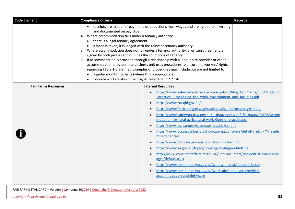| <b>Code Element</b> |                             | <b>Compliance Criteria</b>                                                                                                                                                                                                                                                                                                     |                                                                                                                                                                                                                                                                                                                                                                                                                                                                                                                                                                                                                                                                                                                                                                                                                                                                                                                                                                                                                                                                                                 | <b>Records</b> |
|---------------------|-----------------------------|--------------------------------------------------------------------------------------------------------------------------------------------------------------------------------------------------------------------------------------------------------------------------------------------------------------------------------|-------------------------------------------------------------------------------------------------------------------------------------------------------------------------------------------------------------------------------------------------------------------------------------------------------------------------------------------------------------------------------------------------------------------------------------------------------------------------------------------------------------------------------------------------------------------------------------------------------------------------------------------------------------------------------------------------------------------------------------------------------------------------------------------------------------------------------------------------------------------------------------------------------------------------------------------------------------------------------------------------------------------------------------------------------------------------------------------------|----------------|
|                     |                             | and documented on pay slips<br>4. Where accommodation falls under a tenancy authority:<br>there is a legal tenancy agreement<br>$\bullet$<br>signed by both parties and outlines the conditions of tenancy<br>Regular monitoring visits (where this is appropriate)<br>Educate workers about their rights regarding F12.2.1-6. | receipts are issued for payments or deductions from wages and are agreed to in writing<br>if bond is taken, it is lodged with the relevant tenancy authority<br>5. Where accommodation does not fall under a tenancy authority, a written agreement is<br>6. If accommodation is provided through a relationship with a labour hire provider or other<br>accommodation provider, the business unit uses procedures to ensure the workers' rights<br>regarding F12.2.1-6 are met. Examples of procedures may include but are not limited to:                                                                                                                                                                                                                                                                                                                                                                                                                                                                                                                                                     |                |
|                     | <b>Fair Farms Resources</b> |                                                                                                                                                                                                                                                                                                                                | <b>External Resources</b><br>https://www.safeworkaustralia.gov.au/system/files/documents/1901/code_of<br>$\bullet$<br>practice - managing the work environment and facilities.pdf<br>https://www.rta.qld.gov.au/<br>$\bullet$<br>https://www.fairtrading.nsw.gov.au/housing-and-property/renting<br>$\bullet$<br>https://www.safework.nsw.gov.au/ data/assets/pdf file/0006/52872/Accom<br>$\bullet$<br>modation-for-rural-agricultural-work-Code-of-practice.pdf<br>https://www.consumer.vic.gov.au/housing/renting<br>$\bullet$<br>https://www.accesscanberra.act.gov.au/app/answers/detail/a_id/77/~/reside<br>$\bullet$<br>ntial-tenancies<br>https://www.cbos.tas.gov.au/topics/housing/renting<br>$\bullet$<br>https://www.sa.gov.au/topics/housing/renting-and-letting<br>$\bullet$<br>http://www.consumeraffairs.nt.gov.au/ForConsumers/ResidentialTenancies/P<br>$\bullet$<br>ages/default.aspx<br>https://www.commerce.wa.gov.au/who-we-assist/landlord-lessor<br>$\bullet$<br>https://www.commerce.wa.gov.au/worksafe/employer-provided-<br>$\bullet$<br>accommodation-and-duty-care |                |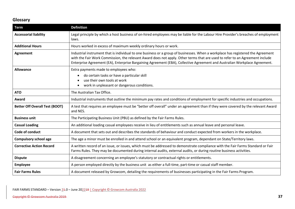### <span id="page-36-0"></span>**Glossary**

| <b>Term</b>                           | <b>Definition</b>                                                                                                                                                                                                                                                                                                                                                                              |  |  |
|---------------------------------------|------------------------------------------------------------------------------------------------------------------------------------------------------------------------------------------------------------------------------------------------------------------------------------------------------------------------------------------------------------------------------------------------|--|--|
| <b>Accessorial liability</b>          | Legal principle by which a host business of on-hired employees may be liable for the Labour Hire Provider's breaches of employment<br>laws.                                                                                                                                                                                                                                                    |  |  |
| <b>Additional Hours</b>               | Hours worked in excess of maximum weekly ordinary hours or work.                                                                                                                                                                                                                                                                                                                               |  |  |
| Agreement                             | Industrial instrument that is individual to one business or a group of businesses. When a workplace has registered the Agreement<br>with the Fair Work Commission, the relevant Award does not apply. Other terms that are used to refer to an Agreement include<br>Enterprise Agreement (EA), Enterprise Bargaining Agreement (EBA), Collective Agreement and Australian Workplace Agreement. |  |  |
| <b>Allowance</b>                      | Extra payments made to employees who:                                                                                                                                                                                                                                                                                                                                                          |  |  |
|                                       | do certain tasks or have a particular skill<br>use their own tools at work                                                                                                                                                                                                                                                                                                                     |  |  |
|                                       | work in unpleasant or dangerous conditions.                                                                                                                                                                                                                                                                                                                                                    |  |  |
| <b>ATO</b>                            | The Australian Tax Office.                                                                                                                                                                                                                                                                                                                                                                     |  |  |
| Award                                 | Industrial instruments that outline the minimum pay rates and conditions of employment for specific industries and occupations.                                                                                                                                                                                                                                                                |  |  |
| <b>Better Off Overall Test (BOOT)</b> | A test that requires an employee must be "better off overall" under an agreement than if they were covered by the relevant Award<br>and NES.                                                                                                                                                                                                                                                   |  |  |
| <b>Business unit</b>                  | The Participating Business Unit (PBU) as defined by the Fair Farms Rules.                                                                                                                                                                                                                                                                                                                      |  |  |
| <b>Casual Loading</b>                 | An additional loading casual employees receive in lieu of entitlements such as annual leave and personal leave.                                                                                                                                                                                                                                                                                |  |  |
| Code of conduct                       | A document that sets out and describes the standards of behaviour and conduct expected from workers in the workplace.                                                                                                                                                                                                                                                                          |  |  |
| <b>Compulsory school age</b>          | The age a minor must be enrolled in and attend school or an equivalent program, dependant on State/Territory laws.                                                                                                                                                                                                                                                                             |  |  |
| <b>Corrective Action Record</b>       | A written record of an issue, or issues, which must be addressed to demonstrate compliance with the Fair Farms Standard or Fair<br>Farms Rules. They may be documented during internal audits, external audits, or during routine business activities.                                                                                                                                         |  |  |
| <b>Dispute</b>                        | A disagreement concerning an employee's statutory or contractual rights or entitlements.                                                                                                                                                                                                                                                                                                       |  |  |
| <b>Employee</b>                       | A person employed directly by the business unit as either a full-time, part-time or casual staff member.                                                                                                                                                                                                                                                                                       |  |  |
| <b>Fair Farms Rules</b>               | A document released by Growcom, detailing the requirements of businesses participating in the Fair Farms Program.                                                                                                                                                                                                                                                                              |  |  |

FAIR FARMS STANDARD – Version  $\underline{24.0}$  – June 20 $\underline{2249}$   $\underline{!}$  Copyright  $\odot$  Growcom Australia 2022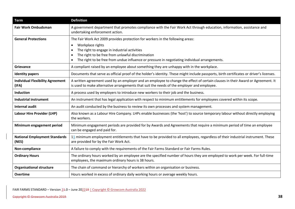| <b>Term</b>                                      | <b>Definition</b>                                                                                                                                                                                                             |
|--------------------------------------------------|-------------------------------------------------------------------------------------------------------------------------------------------------------------------------------------------------------------------------------|
| <b>Fair Work Ombudsman</b>                       | A government department that promotes compliance with the Fair Work Act through education, information, assistance and<br>undertaking enforcement action.                                                                     |
| <b>General Protections</b>                       | The Fair Work Act 2009 provides protection for workers in the following areas:                                                                                                                                                |
|                                                  | Workplace rights<br>$\bullet$                                                                                                                                                                                                 |
|                                                  | The right to engage in industrial activities<br>$\bullet$<br>The right to be free from unlawful discrimination<br>$\bullet$                                                                                                   |
|                                                  | The right to be free from undue influence or pressure in negotiating individual arrangements.                                                                                                                                 |
| Grievance                                        | A compliant raised by an employee about something they are unhappy with in the workplace.                                                                                                                                     |
| <b>Identity papers</b>                           | Documents that serve as official proof of the holder's identity. These might include passports, birth certificates or driver's licenses.                                                                                      |
| <b>Individual Flexibility Agreement</b><br>(IFA) | A written agreement used by an employer and an employee to change the effect of certain clauses in their Award or Agreement. It<br>is used to make alternative arrangements that suit the needs of the employer and employee. |
| <b>Induction</b>                                 | A process used by employers to introduce new workers to their job and the business.                                                                                                                                           |
| <b>Industrial instrument</b>                     | An instrument that has legal application with respect to minimum entitlements for employees covered within its scope.                                                                                                         |
| <b>Internal audit</b>                            | An audit conducted by the business to review its own processes and system management.                                                                                                                                         |
| <b>Labour Hire Provider (LHP)</b>                | Also known as a Labour Hire Company. LHPs enable businesses (the 'host') to source temporary labour without directly employing<br>the workers.                                                                                |
| Minimum engagement period                        | Minimum engagement periods are provided for by Awards and Agreements that require a minimum period of time an employee<br>can be engaged and paid for.                                                                        |
| <b>National Employment Standards</b><br>(NES)    | 11 minimum employment entitlements that have to be provided to all employees, regardless of their industrial instrument. These<br>are provided for by the Fair Work Act.                                                      |
| Non-compliance                                   | A failure to comply with the requirements of the Fair Farms Standard or Fair Farms Rules.                                                                                                                                     |
| <b>Ordinary Hours</b>                            | The ordinary hours worked by an employee are the specified number of hours they are employed to work per week. For full-time<br>employees, the maximum ordinary hours is 38 hours.                                            |
| <b>Organisational structure</b>                  | The chain of command or hierarchy of workers within an organisation or business.                                                                                                                                              |
| <b>Overtime</b>                                  | Hours worked in excess of ordinary daily working hours or average weekly hours.                                                                                                                                               |

FAIR FARMS STANDARD – Version  $\underline{24.0}$  – June 2022 $\underline{19}$   $\underline{L}$  Copyright  $\odot$  Growcom Australia 2022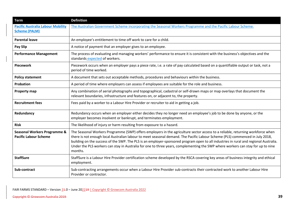| <b>Term</b>                                                      | <b>Definition</b>                                                                                                                                                                                                                                                                                                                                                                                                                                                                                                                                    |
|------------------------------------------------------------------|------------------------------------------------------------------------------------------------------------------------------------------------------------------------------------------------------------------------------------------------------------------------------------------------------------------------------------------------------------------------------------------------------------------------------------------------------------------------------------------------------------------------------------------------------|
| <b>Pacific Australia Labour Mobility</b><br><b>Scheme (PALM)</b> | The Australian Government Scheme incorporating the Seasonal Workers Programme and the Pacific Labour Scheme.                                                                                                                                                                                                                                                                                                                                                                                                                                         |
|                                                                  |                                                                                                                                                                                                                                                                                                                                                                                                                                                                                                                                                      |
| <b>Parental leave</b>                                            | An employee's entitlement to time off work to care for a child.                                                                                                                                                                                                                                                                                                                                                                                                                                                                                      |
| Pay Slip                                                         | A notice of payment that an employer gives to an employee.                                                                                                                                                                                                                                                                                                                                                                                                                                                                                           |
| <b>Performance Management</b>                                    | The process of evaluating and managing workers' performance to ensure it is consistent with the business's objectives and the<br>standards expected of workers.                                                                                                                                                                                                                                                                                                                                                                                      |
| <b>Piecework</b>                                                 | Piecework occurs when an employer pays a piece rate, i.e. a rate of pay calculated based on a quantifiable output or task, not a<br>period of time worked.                                                                                                                                                                                                                                                                                                                                                                                           |
| <b>Policy statement</b>                                          | A document that sets out acceptable methods, procedures and behaviours within the business.                                                                                                                                                                                                                                                                                                                                                                                                                                                          |
| <b>Probation</b>                                                 | A period of time where employers can assess if employees are suitable for the role and business.                                                                                                                                                                                                                                                                                                                                                                                                                                                     |
| <b>Property map</b>                                              | Any combination of aerial photographs and topographical, cadastral or self-drawn maps or map overlays that document the<br>relevant boundaries, infrastructure and features on, or adjacent to, the property.                                                                                                                                                                                                                                                                                                                                        |
| <b>Recruitment fees</b>                                          | Fees paid by a worker to a Labour Hire Provider or recruiter to aid in getting a job.                                                                                                                                                                                                                                                                                                                                                                                                                                                                |
| Redundancy                                                       | Redundancy occurs when an employer either decides they no longer need an employee's job to be done by anyone, or the<br>employer becomes insolvent or bankrupt, and terminates employment.                                                                                                                                                                                                                                                                                                                                                           |
| <b>Risk</b>                                                      | The likelihood of injury or harm resulting from exposure to a hazard.                                                                                                                                                                                                                                                                                                                                                                                                                                                                                |
| Seasonal Workers Programme &<br><b>Pacific Labour Scheme</b>     | The Seasonal Workers Programme (SWP) offers employers in the agriculture sector access to a reliable, returning workforce when<br>there is not enough local Australian labour to meet seasonal demand. The Pacific Labour Scheme (PLS) commenced in July 2018,<br>building on the success of the SWP. The PLS is an employer-sponsored program open to all industries in rural and regional Australia.<br>Under the PLS workers can stay in Australia for one to three years, complementing the SWP where workers can stay for up to nine<br>months. |
| <b>StaffSure</b>                                                 | StaffSure is a Labour Hire Provider certification scheme developed by the RSCA covering key areas of business integrity and ethical<br>employment.                                                                                                                                                                                                                                                                                                                                                                                                   |
| Sub-contract                                                     | Sub-contracting arrangements occur when a Labour Hire Provider sub-contracts their contracted work to another Labour Hire<br>Provider or contractor.                                                                                                                                                                                                                                                                                                                                                                                                 |